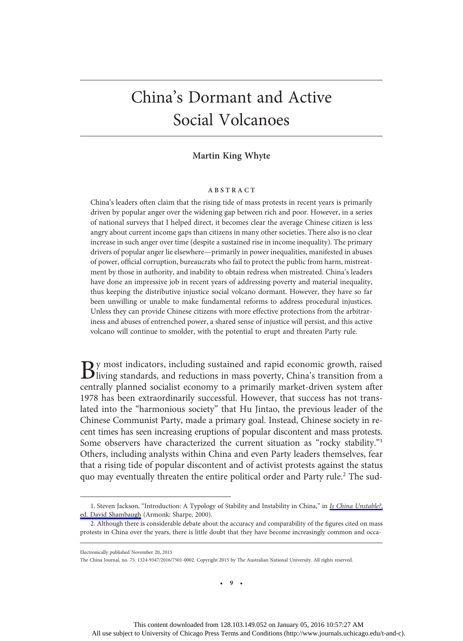# China's Dormant and Active Social Volcanoes

## Martin King Whyte

#### ABSTRACT

China's leaders often claim that the rising tide of mass protests in recent years is primarily driven by popular anger over the widening gap between rich and poor. However, in a series of national surveys that I helped direct, it becomes clear the average Chinese citizen is less angry about current income gaps than citizens in many other societies. There also is no clear increase in such anger over time (despite a sustained rise in income inequality). The primary drivers of popular anger lie elsewhere—primarily in power inequalities, manifested in abuses of power, official corruption, bureaucrats who fail to protect the public from harm, mistreatment by those in authority, and inability to obtain redress when mistreated. China's leaders have done an impressive job in recent years of addressing poverty and material inequality, thus keeping the distributive injustice social volcano dormant. However, they have so far been unwilling or unable to make fundamental reforms to address procedural injustices. Unless they can provide Chinese citizens with more effective protections from the arbitrariness and abuses of entrenched power, a shared sense of injustice will persist, and this active volcano will continue to smolder, with the potential to erupt and threaten Party rule.

By most indicators, including sustained and rapid economic growth, raised<br>living standards, and reductions in mass poverty, China's transition from a<br>living standard in this contract is the china's transition from a centrally planned socialist economy to a primarily market-driven system after 1978 has been extraordinarily successful. However, that success has not translated into the "harmonious society" that Hu Jintao, the previous leader of the Chinese Communist Party, made a primary goal. Instead, Chinese society in recent times has seen increasing eruptions of popular discontent and mass protests. Some observers have characterized the current situation as "rocky stability."<sup>1</sup> Others, including analysts within China and even Party leaders themselves, fear that a rising tide of popular discontent and of activist protests against the status quo may eventually threaten the entire political order and Party rule.<sup>2</sup> The sud-

• 9 •

<sup>1.</sup> Steven Jackson, "Introduction: A Typology of Stability and Instability in China," in *[Is China Unstable?](http://www.journals.uchicago.edu/action/showLinks?crossref=10.1017%2FCCOL0521630231.001)*, [ed. David Shambaugh](http://www.journals.uchicago.edu/action/showLinks?crossref=10.1017%2FCCOL0521630231.001) (Armonk: Sharpe, 2000).

<sup>2.</sup> Although there is considerable debate about the accuracy and comparability of the figures cited on mass protests in China over the years, there is little doubt that they have become increasingly common and occa-

Electronically published November 20, 2015

The China Journal, no. 75. 1324-9347/2016/7501-0002. Copyright 2015 by The Australian National University. All rights reserved.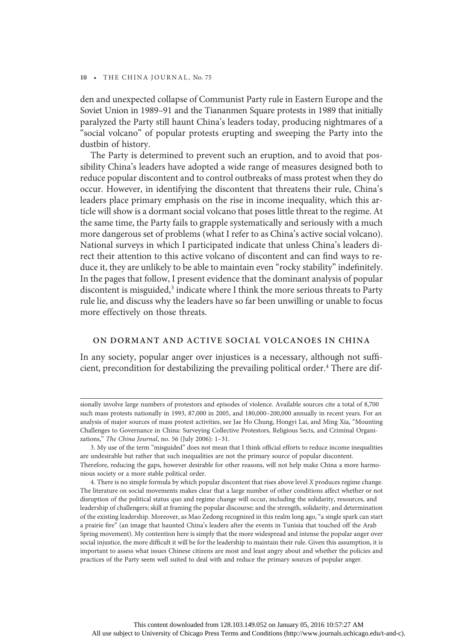den and unexpected collapse of Communist Party rule in Eastern Europe and the Soviet Union in 1989–91 and the Tiananmen Square protests in 1989 that initially paralyzed the Party still haunt China's leaders today, producing nightmares of a "social volcano" of popular protests erupting and sweeping the Party into the dustbin of history.

The Party is determined to prevent such an eruption, and to avoid that possibility China's leaders have adopted a wide range of measures designed both to reduce popular discontent and to control outbreaks of mass protest when they do occur. However, in identifying the discontent that threatens their rule, China's leaders place primary emphasis on the rise in income inequality, which this article will show is a dormant social volcano that poses little threat to the regime. At the same time, the Party fails to grapple systematically and seriously with a much more dangerous set of problems (what I refer to as China's active social volcano). National surveys in which I participated indicate that unless China's leaders direct their attention to this active volcano of discontent and can find ways to reduce it, they are unlikely to be able to maintain even "rocky stability" indefinitely. In the pages that follow, I present evidence that the dominant analysis of popular discontent is misguided, $3$  indicate where I think the more serious threats to Party rule lie, and discuss why the leaders have so far been unwilling or unable to focus more effectively on those threats.

## ON DORMANT AND ACTIVE SOCIAL VOLCANOES IN CHINA

In any society, popular anger over injustices is a necessary, although not sufficient, precondition for destabilizing the prevailing political order.<sup>4</sup> There are dif-

sionally involve large numbers of protestors and episodes of violence. Available sources cite a total of 8,700 such mass protests nationally in 1993, 87,000 in 2005, and 180,000–200,000 annually in recent years. For an analysis of major sources of mass protest activities, see Jae Ho Chung, Hongyi Lai, and Ming Xia, "Mounting Challenges to Governance in China: Surveying Collective Protestors, Religious Sects, and Criminal Organizations," The China Journal, no. 56 (July 2006): 1–31.

<sup>3.</sup> My use of the term "misguided" does not mean that I think official efforts to reduce income inequalities are undesirable but rather that such inequalities are not the primary source of popular discontent. Therefore, reducing the gaps, however desirable for other reasons, will not help make China a more harmonious society or a more stable political order.

<sup>4.</sup> There is no simple formula by which popular discontent that rises above level X produces regime change. The literature on social movements makes clear that a large number of other conditions affect whether or not disruption of the political status quo and regime change will occur, including the solidarity, resources, and leadership of challengers; skill at framing the popular discourse; and the strength, solidarity, and determination of the existing leadership. Moreover, as Mao Zedong recognized in this realm long ago, "a single spark can start a prairie fire" (an image that haunted China's leaders after the events in Tunisia that touched off the Arab Spring movement). My contention here is simply that the more widespread and intense the popular anger over social injustice, the more difficult it will be for the leadership to maintain their rule. Given this assumption, it is important to assess what issues Chinese citizens are most and least angry about and whether the policies and practices of the Party seem well suited to deal with and reduce the primary sources of popular anger.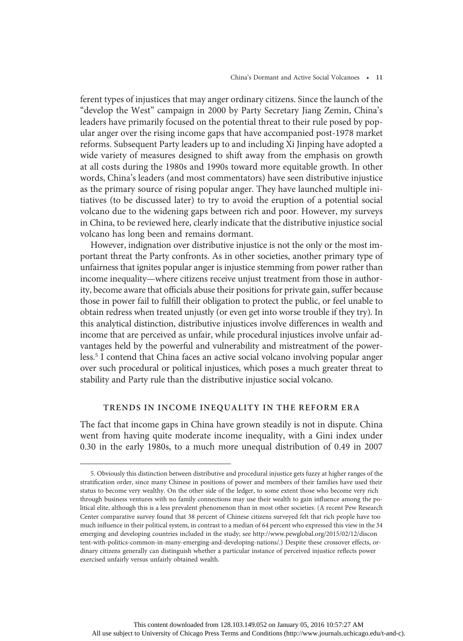ferent types of injustices that may anger ordinary citizens. Since the launch of the "develop the West" campaign in 2000 by Party Secretary Jiang Zemin, China's leaders have primarily focused on the potential threat to their rule posed by popular anger over the rising income gaps that have accompanied post-1978 market reforms. Subsequent Party leaders up to and including Xi Jinping have adopted a wide variety of measures designed to shift away from the emphasis on growth at all costs during the 1980s and 1990s toward more equitable growth. In other words, China's leaders (and most commentators) have seen distributive injustice as the primary source of rising popular anger. They have launched multiple initiatives (to be discussed later) to try to avoid the eruption of a potential social volcano due to the widening gaps between rich and poor. However, my surveys in China, to be reviewed here, clearly indicate that the distributive injustice social volcano has long been and remains dormant.

However, indignation over distributive injustice is not the only or the most important threat the Party confronts. As in other societies, another primary type of unfairness that ignites popular anger is injustice stemming from power rather than income inequality—where citizens receive unjust treatment from those in authority, become aware that officials abuse their positions for private gain, suffer because those in power fail to fulfill their obligation to protect the public, or feel unable to obtain redress when treated unjustly (or even get into worse trouble if they try). In this analytical distinction, distributive injustices involve differences in wealth and income that are perceived as unfair, while procedural injustices involve unfair advantages held by the powerful and vulnerability and mistreatment of the powerless.5 I contend that China faces an active social volcano involving popular anger over such procedural or political injustices, which poses a much greater threat to stability and Party rule than the distributive injustice social volcano.

## TRENDS IN INCOME INEQUALITY IN THE REFORM ERA

The fact that income gaps in China have grown steadily is not in dispute. China went from having quite moderate income inequality, with a Gini index under 0.30 in the early 1980s, to a much more unequal distribution of 0.49 in 2007

<sup>5.</sup> Obviously this distinction between distributive and procedural injustice gets fuzzy at higher ranges of the stratification order, since many Chinese in positions of power and members of their families have used their status to become very wealthy. On the other side of the ledger, to some extent those who become very rich through business ventures with no family connections may use their wealth to gain influence among the political elite, although this is a less prevalent phenomenon than in most other societies. (A recent Pew Research Center comparative survey found that 38 percent of Chinese citizens surveyed felt that rich people have too much influence in their political system, in contrast to a median of 64 percent who expressed this view in the 34 emerging and developing countries included in the study; see http://www.pewglobal.org/2015/02/12/discon tent-with-politics-common-in-many-emerging-and-developing-nations/.) Despite these crossover effects, ordinary citizens generally can distinguish whether a particular instance of perceived injustice reflects power exercised unfairly versus unfairly obtained wealth.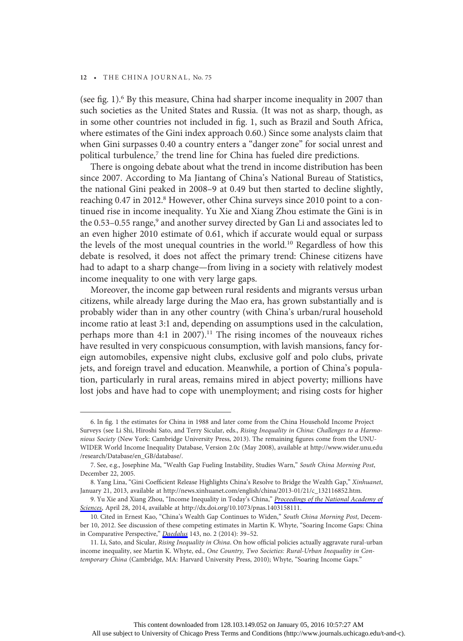(see fig. 1).<sup>6</sup> By this measure, China had sharper income inequality in 2007 than such societies as the United States and Russia. (It was not as sharp, though, as in some other countries not included in fig. 1, such as Brazil and South Africa, where estimates of the Gini index approach 0.60.) Since some analysts claim that when Gini surpasses 0.40 a country enters a "danger zone" for social unrest and political turbulence,<sup>7</sup> the trend line for China has fueled dire predictions.

There is ongoing debate about what the trend in income distribution has been since 2007. According to Ma Jiantang of China's National Bureau of Statistics, the national Gini peaked in 2008–9 at 0.49 but then started to decline slightly, reaching 0.47 in 2012.<sup>8</sup> However, other China surveys since 2010 point to a continued rise in income inequality. Yu Xie and Xiang Zhou estimate the Gini is in the 0.53–0.55 range,<sup>9</sup> and another survey directed by Gan Li and associates led to an even higher 2010 estimate of 0.61, which if accurate would equal or surpass the levels of the most unequal countries in the world.<sup>10</sup> Regardless of how this debate is resolved, it does not affect the primary trend: Chinese citizens have had to adapt to a sharp change—from living in a society with relatively modest income inequality to one with very large gaps.

Moreover, the income gap between rural residents and migrants versus urban citizens, while already large during the Mao era, has grown substantially and is probably wider than in any other country (with China's urban/rural household income ratio at least 3:1 and, depending on assumptions used in the calculation, perhaps more than  $4:1$  in  $2007$ .<sup>11</sup> The rising incomes of the nouveaux riches have resulted in very conspicuous consumption, with lavish mansions, fancy foreign automobiles, expensive night clubs, exclusive golf and polo clubs, private jets, and foreign travel and education. Meanwhile, a portion of China's population, particularly in rural areas, remains mired in abject poverty; millions have lost jobs and have had to cope with unemployment; and rising costs for higher

<sup>6.</sup> In fig. 1 the estimates for China in 1988 and later come from the China Household Income Project Surveys (see Li Shi, Hiroshi Sato, and Terry Sicular, eds., Rising Inequality in China: Challenges to a Harmonious Society (New York: Cambridge University Press, 2013). The remaining figures come from the UNU-WIDER World Income Inequality Database, Version 2.0c (May 2008), available at http://www.wider.unu.edu /research/Database/en\_GB/database/.

<sup>7.</sup> See, e.g., Josephine Ma, "Wealth Gap Fueling Instability, Studies Warn," South China Morning Post, December 22, 2005.

<sup>8.</sup> Yang Lina, "Gini Coefficient Release Highlights China's Resolve to Bridge the Wealth Gap," Xinhuanet, January 21, 2013, available at http://news.xinhuanet.com/english/china/2013-01/21/c\_132116852.htm.

<sup>9.</sup> Yu Xie and Xiang Zhou, "Income Inequality in Today's China," [Proceedings of the National Academy of](http://www.journals.uchicago.edu/action/showLinks?crossref=10.1073%2Fpnas.1403158111) [Sciences](http://www.journals.uchicago.edu/action/showLinks?crossref=10.1073%2Fpnas.1403158111), April 28, 2014, available at http://dx.doi.org/10.1073/pnas.1403158111.

<sup>10.</sup> Cited in Ernest Kao, "China's Wealth Gap Continues to Widen," South China Morning Post, December 10, 2012. See discussion of these competing estimates in Martin K. Whyte, "Soaring Income Gaps: China in Comparative Perspective," [Daedalus](http://www.journals.uchicago.edu/action/showLinks?crossref=10.1162%2FDAED_a_00271) 143, no. 2 (2014): 39–52.

<sup>11.</sup> Li, Sato, and Sicular, Rising Inequality in China. On how official policies actually aggravate rural-urban income inequality, see Martin K. Whyte, ed., One Country, Two Societies: Rural-Urban Inequality in Contemporary China (Cambridge, MA: Harvard University Press, 2010); Whyte, "Soaring Income Gaps."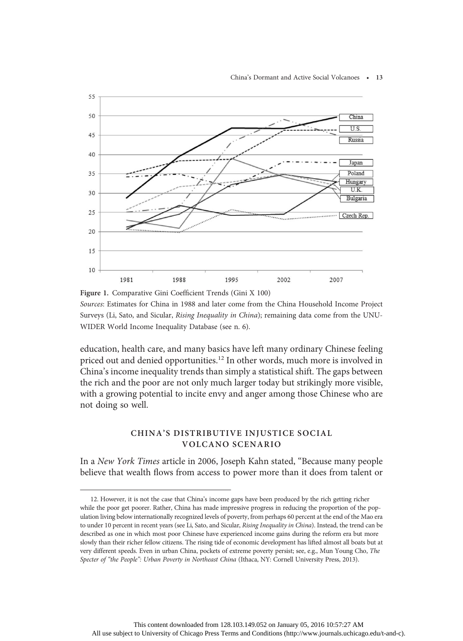



education, health care, and many basics have left many ordinary Chinese feeling priced out and denied opportunities.<sup>12</sup> In other words, much more is involved in China's income inequality trends than simply a statistical shift. The gaps between the rich and the poor are not only much larger today but strikingly more visible, with a growing potential to incite envy and anger among those Chinese who are not doing so well.

## CHINA'S DISTRIBUTIVE INJUSTICE SOCIAL VOLCANO SCENARIO

In a New York Times article in 2006, Joseph Kahn stated, "Because many people believe that wealth flows from access to power more than it does from talent or

<sup>12.</sup> However, it is not the case that China's income gaps have been produced by the rich getting richer while the poor get poorer. Rather, China has made impressive progress in reducing the proportion of the population living below internationally recognized levels of poverty, from perhaps 60 percent at the end of the Mao era to under 10 percent in recent years (see Li, Sato, and Sicular, Rising Inequality in China). Instead, the trend can be described as one in which most poor Chinese have experienced income gains during the reform era but more slowly than their richer fellow citizens. The rising tide of economic development has lifted almost all boats but at very different speeds. Even in urban China, pockets of extreme poverty persist; see, e.g., Mun Young Cho, The Specter of "the People": Urban Poverty in Northeast China (Ithaca, NY: Cornell University Press, 2013).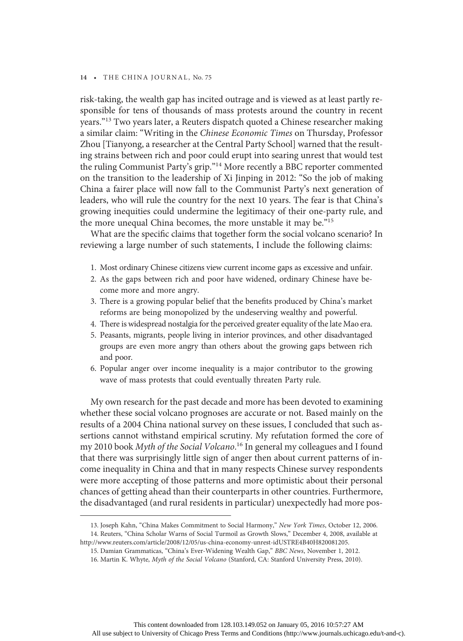risk-taking, the wealth gap has incited outrage and is viewed as at least partly responsible for tens of thousands of mass protests around the country in recent years."<sup>13</sup> Two years later, a Reuters dispatch quoted a Chinese researcher making a similar claim: "Writing in the Chinese Economic Times on Thursday, Professor Zhou [Tianyong, a researcher at the Central Party School] warned that the resulting strains between rich and poor could erupt into searing unrest that would test the ruling Communist Party's grip."<sup>14</sup> More recently a BBC reporter commented on the transition to the leadership of Xi Jinping in 2012: "So the job of making China a fairer place will now fall to the Communist Party's next generation of leaders, who will rule the country for the next 10 years. The fear is that China's growing inequities could undermine the legitimacy of their one-party rule, and the more unequal China becomes, the more unstable it may be."<sup>15</sup>

What are the specific claims that together form the social volcano scenario? In reviewing a large number of such statements, I include the following claims:

- 1. Most ordinary Chinese citizens view current income gaps as excessive and unfair.
- 2. As the gaps between rich and poor have widened, ordinary Chinese have become more and more angry.
- 3. There is a growing popular belief that the benefits produced by China's market reforms are being monopolized by the undeserving wealthy and powerful.
- 4. There is widespread nostalgia for the perceived greater equality of the late Mao era.
- 5. Peasants, migrants, people living in interior provinces, and other disadvantaged groups are even more angry than others about the growing gaps between rich and poor.
- 6. Popular anger over income inequality is a major contributor to the growing wave of mass protests that could eventually threaten Party rule.

My own research for the past decade and more has been devoted to examining whether these social volcano prognoses are accurate or not. Based mainly on the results of a 2004 China national survey on these issues, I concluded that such assertions cannot withstand empirical scrutiny. My refutation formed the core of my 2010 book Myth of the Social Volcano.<sup>16</sup> In general my colleagues and I found that there was surprisingly little sign of anger then about current patterns of income inequality in China and that in many respects Chinese survey respondents were more accepting of those patterns and more optimistic about their personal chances of getting ahead than their counterparts in other countries. Furthermore, the disadvantaged (and rural residents in particular) unexpectedly had more pos-

http://www.reuters.com/article/2008/12/05/us-china-economy-unrest-idUSTRE4B40H820081205. 15. Damian Grammaticas, "China's Ever-Widening Wealth Gap," BBC News, November 1, 2012.

<sup>13.</sup> Joseph Kahn, "China Makes Commitment to Social Harmony," New York Times, October 12, 2006. 14. Reuters, "China Scholar Warns of Social Turmoil as Growth Slows," December 4, 2008, available at

<sup>16.</sup> Martin K. Whyte, Myth of the Social Volcano (Stanford, CA: Stanford University Press, 2010).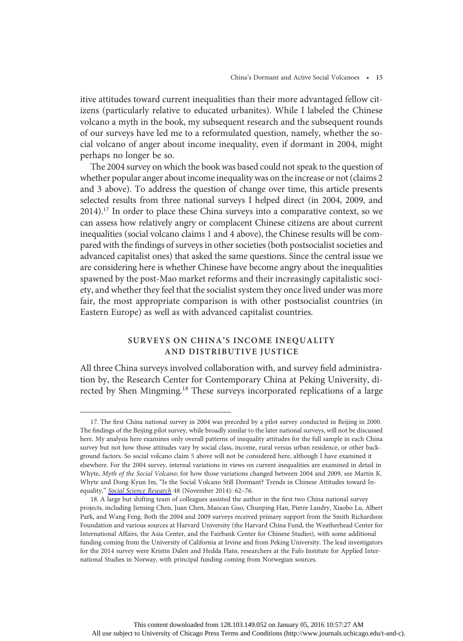itive attitudes toward current inequalities than their more advantaged fellow citizens (particularly relative to educated urbanites). While I labeled the Chinese volcano a myth in the book, my subsequent research and the subsequent rounds of our surveys have led me to a reformulated question, namely, whether the social volcano of anger about income inequality, even if dormant in 2004, might perhaps no longer be so.

The 2004 survey on which the book was based could not speak to the question of whether popular anger about income inequality was on the increase or not (claims 2 and 3 above). To address the question of change over time, this article presents selected results from three national surveys I helped direct (in 2004, 2009, and 2014).17 In order to place these China surveys into a comparative context, so we can assess how relatively angry or complacent Chinese citizens are about current inequalities (social volcano claims 1 and 4 above), the Chinese results will be compared with the findings of surveys in other societies (both postsocialist societies and advanced capitalist ones) that asked the same questions. Since the central issue we are considering here is whether Chinese have become angry about the inequalities spawned by the post-Mao market reforms and their increasingly capitalistic society, and whether they feel that the socialist system they once lived under was more fair, the most appropriate comparison is with other postsocialist countries (in Eastern Europe) as well as with advanced capitalist countries.

# SURVEYS ON CHINA'S INCOME INEQUALITY AND DISTRIBUTIVE JUSTICE

All three China surveys involved collaboration with, and survey field administration by, the Research Center for Contemporary China at Peking University, directed by Shen Mingming.<sup>18</sup> These surveys incorporated replications of a large

<sup>17.</sup> The first China national survey in 2004 was preceded by a pilot survey conducted in Beijing in 2000. The findings of the Beijing pilot survey, while broadly similar to the later national surveys, will not be discussed here. My analysis here examines only overall patterns of inequality attitudes for the full sample in each China survey but not how those attitudes vary by social class, income, rural versus urban residence, or other background factors. So social volcano claim 5 above will not be considered here, although I have examined it elsewhere. For the 2004 survey, internal variations in views on current inequalities are examined in detail in Whyte, Myth of the Social Volcano; for how those variations changed between 2004 and 2009, see Martin K. Whyte and Dong-Kyun Im, "Is the Social Volcano Still Dormant? Trends in Chinese Attitudes toward In-equality," [Social Science Research](http://www.journals.uchicago.edu/action/showLinks?crossref=10.1016%2Fj.ssresearch.2014.05.008) 48 (November 2014): 62-76.

<sup>18.</sup> A large but shifting team of colleagues assisted the author in the first two China national survey projects, including Jieming Chen, Juan Chen, Maocan Guo, Chunping Han, Pierre Landry, Xiaobo Lu, Albert Park, and Wang Feng. Both the 2004 and 2009 surveys received primary support from the Smith Richardson Foundation and various sources at Harvard University (the Harvard China Fund, the Weatherhead Center for International Affairs, the Asia Center, and the Fairbank Center for Chinese Studies), with some additional funding coming from the University of California at Irvine and from Peking University. The lead investigators for the 2014 survey were Kristin Dalen and Hedda Flatø, researchers at the Fafo Institute for Applied International Studies in Norway, with principal funding coming from Norwegian sources.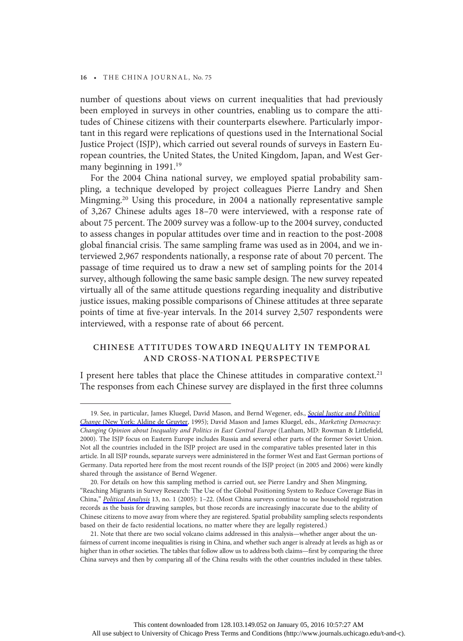number of questions about views on current inequalities that had previously been employed in surveys in other countries, enabling us to compare the attitudes of Chinese citizens with their counterparts elsewhere. Particularly important in this regard were replications of questions used in the International Social Justice Project (ISJP), which carried out several rounds of surveys in Eastern European countries, the United States, the United Kingdom, Japan, and West Germany beginning in 1991.<sup>19</sup>

For the 2004 China national survey, we employed spatial probability sampling, a technique developed by project colleagues Pierre Landry and Shen Mingming.<sup>20</sup> Using this procedure, in 2004 a nationally representative sample of 3,267 Chinese adults ages 18–70 were interviewed, with a response rate of about 75 percent. The 2009 survey was a follow-up to the 2004 survey, conducted to assess changes in popular attitudes over time and in reaction to the post-2008 global financial crisis. The same sampling frame was used as in 2004, and we interviewed 2,967 respondents nationally, a response rate of about 70 percent. The passage of time required us to draw a new set of sampling points for the 2014 survey, although following the same basic sample design. The new survey repeated virtually all of the same attitude questions regarding inequality and distributive justice issues, making possible comparisons of Chinese attitudes at three separate points of time at five-year intervals. In the 2014 survey 2,507 respondents were interviewed, with a response rate of about 66 percent.

# CHINESE ATTITUDES TOWARD INEQUALITY IN TEMPORAL AND CROSS-NATIONAL PERSPECTIVE

I present here tables that place the Chinese attitudes in comparative context.<sup>21</sup> The responses from each Chinese survey are displayed in the first three columns

<sup>19.</sup> See, in particular, James Kluegel, David Mason, and Bernd Wegener, eds., [Social Justice and Political](http://www.journals.uchicago.edu/action/showLinks?crossref=10.1515%2F9783110868944) Change [\(New York: Aldine de Gruyter,](http://www.journals.uchicago.edu/action/showLinks?crossref=10.1515%2F9783110868944) 1995); David Mason and James Kluegel, eds., Marketing Democracy: Changing Opinion about Inequality and Politics in East Central Europe (Lanham, MD: Rowman & Littlefield, 2000). The ISJP focus on Eastern Europe includes Russia and several other parts of the former Soviet Union. Not all the countries included in the ISJP project are used in the comparative tables presented later in this article. In all ISJP rounds, separate surveys were administered in the former West and East German portions of Germany. Data reported here from the most recent rounds of the ISJP project (in 2005 and 2006) were kindly shared through the assistance of Bernd Wegener.

<sup>20.</sup> For details on how this sampling method is carried out, see Pierre Landry and Shen Mingming, "Reaching Migrants in Survey Research: The Use of the Global Positioning System to Reduce Coverage Bias in China," [Political Analysis](http://www.journals.uchicago.edu/action/showLinks?crossref=10.1093%2Fpan%2Fmpi001) 13, no. 1 (2005): 1-22. (Most China surveys continue to use household registration records as the basis for drawing samples, but those records are increasingly inaccurate due to the ability of Chinese citizens to move away from where they are registered. Spatial probability sampling selects respondents based on their de facto residential locations, no matter where they are legally registered.)

<sup>21.</sup> Note that there are two social volcano claims addressed in this analysis—whether anger about the unfairness of current income inequalities is rising in China, and whether such anger is already at levels as high as or higher than in other societies. The tables that follow allow us to address both claims—first by comparing the three China surveys and then by comparing all of the China results with the other countries included in these tables.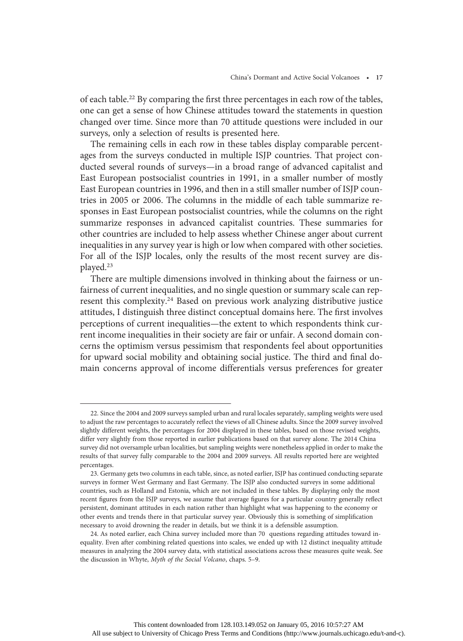of each table.<sup>22</sup> By comparing the first three percentages in each row of the tables, one can get a sense of how Chinese attitudes toward the statements in question changed over time. Since more than 70 attitude questions were included in our surveys, only a selection of results is presented here.

The remaining cells in each row in these tables display comparable percentages from the surveys conducted in multiple ISJP countries. That project conducted several rounds of surveys—in a broad range of advanced capitalist and East European postsocialist countries in 1991, in a smaller number of mostly East European countries in 1996, and then in a still smaller number of ISJP countries in 2005 or 2006. The columns in the middle of each table summarize responses in East European postsocialist countries, while the columns on the right summarize responses in advanced capitalist countries. These summaries for other countries are included to help assess whether Chinese anger about current inequalities in any survey year is high or low when compared with other societies. For all of the ISJP locales, only the results of the most recent survey are displayed.<sup>23</sup>

There are multiple dimensions involved in thinking about the fairness or unfairness of current inequalities, and no single question or summary scale can represent this complexity.<sup>24</sup> Based on previous work analyzing distributive justice attitudes, I distinguish three distinct conceptual domains here. The first involves perceptions of current inequalities—the extent to which respondents think current income inequalities in their society are fair or unfair. A second domain concerns the optimism versus pessimism that respondents feel about opportunities for upward social mobility and obtaining social justice. The third and final domain concerns approval of income differentials versus preferences for greater

<sup>22.</sup> Since the 2004 and 2009 surveys sampled urban and rural locales separately, sampling weights were used to adjust the raw percentages to accurately reflect the views of all Chinese adults. Since the 2009 survey involved slightly different weights, the percentages for 2004 displayed in these tables, based on those revised weights, differ very slightly from those reported in earlier publications based on that survey alone. The 2014 China survey did not oversample urban localities, but sampling weights were nonetheless applied in order to make the results of that survey fully comparable to the 2004 and 2009 surveys. All results reported here are weighted percentages.

<sup>23.</sup> Germany gets two columns in each table, since, as noted earlier, ISJP has continued conducting separate surveys in former West Germany and East Germany. The ISJP also conducted surveys in some additional countries, such as Holland and Estonia, which are not included in these tables. By displaying only the most recent figures from the ISJP surveys, we assume that average figures for a particular country generally reflect persistent, dominant attitudes in each nation rather than highlight what was happening to the economy or other events and trends there in that particular survey year. Obviously this is something of simplification necessary to avoid drowning the reader in details, but we think it is a defensible assumption.

<sup>24.</sup> As noted earlier, each China survey included more than 70 questions regarding attitudes toward inequality. Even after combining related questions into scales, we ended up with 12 distinct inequality attitude measures in analyzing the 2004 survey data, with statistical associations across these measures quite weak. See the discussion in Whyte, Myth of the Social Volcano, chaps. 5–9.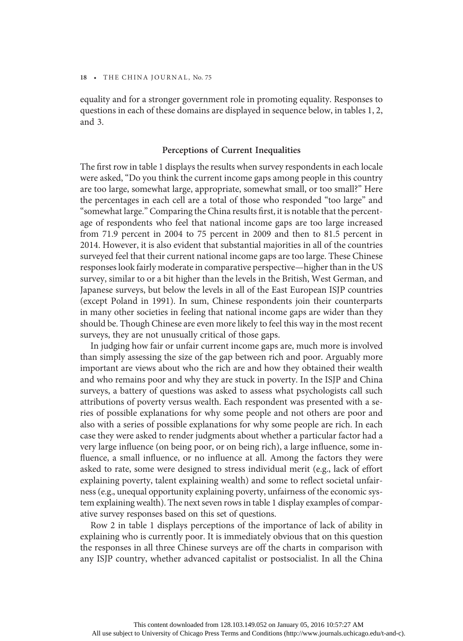equality and for a stronger government role in promoting equality. Responses to questions in each of these domains are displayed in sequence below, in tables 1, 2, and 3.

## Perceptions of Current Inequalities

The first row in table 1 displays the results when survey respondents in each locale were asked, "Do you think the current income gaps among people in this country are too large, somewhat large, appropriate, somewhat small, or too small?" Here the percentages in each cell are a total of those who responded "too large" and "somewhat large." Comparing the China results first, it is notable that the percentage of respondents who feel that national income gaps are too large increased from 71.9 percent in 2004 to 75 percent in 2009 and then to 81.5 percent in 2014. However, it is also evident that substantial majorities in all of the countries surveyed feel that their current national income gaps are too large. These Chinese responses look fairly moderate in comparative perspective—higher than in the US survey, similar to or a bit higher than the levels in the British, West German, and Japanese surveys, but below the levels in all of the East European ISJP countries (except Poland in 1991). In sum, Chinese respondents join their counterparts in many other societies in feeling that national income gaps are wider than they should be. Though Chinese are even more likely to feel this way in the most recent surveys, they are not unusually critical of those gaps.

In judging how fair or unfair current income gaps are, much more is involved than simply assessing the size of the gap between rich and poor. Arguably more important are views about who the rich are and how they obtained their wealth and who remains poor and why they are stuck in poverty. In the ISJP and China surveys, a battery of questions was asked to assess what psychologists call such attributions of poverty versus wealth. Each respondent was presented with a series of possible explanations for why some people and not others are poor and also with a series of possible explanations for why some people are rich. In each case they were asked to render judgments about whether a particular factor had a very large influence (on being poor, or on being rich), a large influence, some influence, a small influence, or no influence at all. Among the factors they were asked to rate, some were designed to stress individual merit (e.g., lack of effort explaining poverty, talent explaining wealth) and some to reflect societal unfairness (e.g., unequal opportunity explaining poverty, unfairness of the economic system explaining wealth). The next seven rows in table 1 display examples of comparative survey responses based on this set of questions.

Row 2 in table 1 displays perceptions of the importance of lack of ability in explaining who is currently poor. It is immediately obvious that on this question the responses in all three Chinese surveys are off the charts in comparison with any ISJP country, whether advanced capitalist or postsocialist. In all the China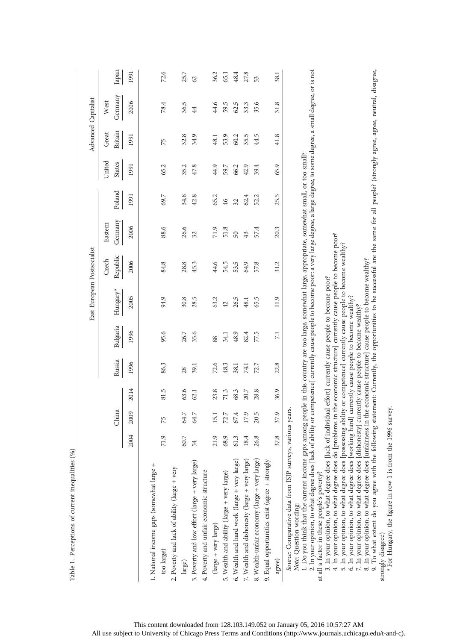|                                                                                                                                                                                                                                                                                                                                                                                                                                                                                                                                                                                                                                                                                                                                                                                                                                                                                                                                                                                                                                                                                                                                                                                                                                                                                                                             |      |                 |      |        |          | East European Postsocialist                                                                                                                     |          |         |                 |               | Advanced Capitalist |         |               |
|-----------------------------------------------------------------------------------------------------------------------------------------------------------------------------------------------------------------------------------------------------------------------------------------------------------------------------------------------------------------------------------------------------------------------------------------------------------------------------------------------------------------------------------------------------------------------------------------------------------------------------------------------------------------------------------------------------------------------------------------------------------------------------------------------------------------------------------------------------------------------------------------------------------------------------------------------------------------------------------------------------------------------------------------------------------------------------------------------------------------------------------------------------------------------------------------------------------------------------------------------------------------------------------------------------------------------------|------|-----------------|------|--------|----------|-------------------------------------------------------------------------------------------------------------------------------------------------|----------|---------|-----------------|---------------|---------------------|---------|---------------|
|                                                                                                                                                                                                                                                                                                                                                                                                                                                                                                                                                                                                                                                                                                                                                                                                                                                                                                                                                                                                                                                                                                                                                                                                                                                                                                                             |      |                 |      |        |          |                                                                                                                                                 | Czech    | Eastern |                 | United        | Great               | West    |               |
|                                                                                                                                                                                                                                                                                                                                                                                                                                                                                                                                                                                                                                                                                                                                                                                                                                                                                                                                                                                                                                                                                                                                                                                                                                                                                                                             |      | China           |      | Russia | Bulgaria | Hungary <sup>a</sup>                                                                                                                            | Republic | Germany | Poland          | <b>States</b> | <b>Britain</b>      | Germany | Japan         |
|                                                                                                                                                                                                                                                                                                                                                                                                                                                                                                                                                                                                                                                                                                                                                                                                                                                                                                                                                                                                                                                                                                                                                                                                                                                                                                                             | 2004 | 2009            | 2014 | 1996   | 1996     | 2005                                                                                                                                            | 2006     | 2006    | 1991            | 1991          | 1991                | 2006    | 1991          |
| 1. National income gaps (somewhat large +                                                                                                                                                                                                                                                                                                                                                                                                                                                                                                                                                                                                                                                                                                                                                                                                                                                                                                                                                                                                                                                                                                                                                                                                                                                                                   |      |                 |      |        |          |                                                                                                                                                 |          |         |                 |               |                     |         |               |
| too large)                                                                                                                                                                                                                                                                                                                                                                                                                                                                                                                                                                                                                                                                                                                                                                                                                                                                                                                                                                                                                                                                                                                                                                                                                                                                                                                  | 71.9 | 75              | 81.5 | 86.3   | 95.6     | 94.9                                                                                                                                            | 84.8     | 88.6    | 69.7            | 65.2          | 75                  | 78.4    | 72.6          |
| 2. Poverty and lack of ability (large + very                                                                                                                                                                                                                                                                                                                                                                                                                                                                                                                                                                                                                                                                                                                                                                                                                                                                                                                                                                                                                                                                                                                                                                                                                                                                                |      |                 |      |        |          |                                                                                                                                                 |          |         |                 |               |                     |         |               |
| large)                                                                                                                                                                                                                                                                                                                                                                                                                                                                                                                                                                                                                                                                                                                                                                                                                                                                                                                                                                                                                                                                                                                                                                                                                                                                                                                      | 60.7 | 64.7            | 63.6 | 28     | 26.7     | 30.8                                                                                                                                            | 28.8     | 26.6    | 34.8            | 35.2          | 32.8                | 36.5    | 25.7          |
| 3. Poverty and low effort (large + very large)                                                                                                                                                                                                                                                                                                                                                                                                                                                                                                                                                                                                                                                                                                                                                                                                                                                                                                                                                                                                                                                                                                                                                                                                                                                                              | 54   | 64.7            | 62.1 | 39.1   | 35.6     | 28.5                                                                                                                                            | 45.3     | 32      | 42.8            | 47.8          | 34.9                | 44      | $\mathcal{O}$ |
| 4. Poverty and unfair economic structure                                                                                                                                                                                                                                                                                                                                                                                                                                                                                                                                                                                                                                                                                                                                                                                                                                                                                                                                                                                                                                                                                                                                                                                                                                                                                    |      |                 |      |        |          |                                                                                                                                                 |          |         |                 |               |                     |         |               |
| (large + very large)                                                                                                                                                                                                                                                                                                                                                                                                                                                                                                                                                                                                                                                                                                                                                                                                                                                                                                                                                                                                                                                                                                                                                                                                                                                                                                        | 21.9 | $\overline{51}$ | 23.8 | 72.6   | 88       | 63.2                                                                                                                                            | 44.6     | 71.9    | 65.2            | 44.9          | 48.1                | 44.6    | 36.2          |
| 5. Wealth and ability (large + very large)                                                                                                                                                                                                                                                                                                                                                                                                                                                                                                                                                                                                                                                                                                                                                                                                                                                                                                                                                                                                                                                                                                                                                                                                                                                                                  | 68.9 | 72.7            | 71.3 | 48.3   | 34.1     | $\overline{42}$                                                                                                                                 | 54.5     | 51.8    | $\frac{4}{5}$   | 59.7          | 53.9                | 59.5    | 65.1          |
| 6. Wealth and hard work (large + very large)                                                                                                                                                                                                                                                                                                                                                                                                                                                                                                                                                                                                                                                                                                                                                                                                                                                                                                                                                                                                                                                                                                                                                                                                                                                                                | 61.3 | 67.4            | 68.3 | 38.1   | 48.9     | 26.5                                                                                                                                            | 53.5     | 50      | $\overline{32}$ | 66.2          | 60.2                | 62.5    | 48.4          |
| 7. Wealth and dishonesty (large + very large)                                                                                                                                                                                                                                                                                                                                                                                                                                                                                                                                                                                                                                                                                                                                                                                                                                                                                                                                                                                                                                                                                                                                                                                                                                                                               | 18.4 | 17.9            | 20.7 | 74.1   | 82.4     | 48.1                                                                                                                                            | 64.9     | 43      | 62.4            | 42.9          | 35.5                | 33.3    | 27.8          |
| 8. Wealth-unfair economy (large + very large)                                                                                                                                                                                                                                                                                                                                                                                                                                                                                                                                                                                                                                                                                                                                                                                                                                                                                                                                                                                                                                                                                                                                                                                                                                                                               | 26.8 | 20.5            | 28.8 | 72.7   | 77.5     | 65.5                                                                                                                                            | 57.8     | 57.4    | 52.2            | 39.4          | 44.5                | 35.6    | 53            |
| 9. Equal opportunities exist (agree + strongly                                                                                                                                                                                                                                                                                                                                                                                                                                                                                                                                                                                                                                                                                                                                                                                                                                                                                                                                                                                                                                                                                                                                                                                                                                                                              |      |                 |      |        |          |                                                                                                                                                 |          |         |                 |               |                     |         |               |
| agree)                                                                                                                                                                                                                                                                                                                                                                                                                                                                                                                                                                                                                                                                                                                                                                                                                                                                                                                                                                                                                                                                                                                                                                                                                                                                                                                      | 37.8 | 37.9            | 36.9 | 22.8   | 7.1      | 11.9                                                                                                                                            | 31.2     | 20.3    | 25.5            | 65.9          | 41.8                | 31.8    | 38.1          |
| 9. To what extent do you agree with the following statement: Currently, the opportunities to be successful are the same for all people? (strongly agree, agree, neutral, disagree,<br>1. Do you think that the current income gaps among people in this country are too large, somewhat large, appropriate, somewhat small, or too small?<br>4. In your opinion, to what degree does do [problems in the economic structure] currently cause people to become poor?<br>5. In your opinion, to what degree does [possessing ability or competence] currently cause people to become wealthy?<br>8. In your opinion, to what degree does [unfairness in the economic structure] cause people to become wealthy?<br>3. In your opinion, to what degree does [lack of individual effort] currently cause people to become poor?<br>6. In your opinion, to what degree does [working hard] currently cause people to become wealthy?<br>7. In your opinion, to what degree does [dishonesty] currently cause people to become wealthy?<br><sup>a</sup> For Hungary, the figure in row 1 is from the 1996 survey.<br>Source: Comparative data from ISJP surveys, various years.<br>2. In your opinion, to what degree does [lack<br>all a factor in these people's poverty?<br>Note: Question wording:<br>strongly disagree)<br>t |      |                 |      |        |          | of ability or competence] currently cause people to become poor: a very large degree, a large degree, to some degree, a small degree, or is not |          |         |                 |               |                     |         |               |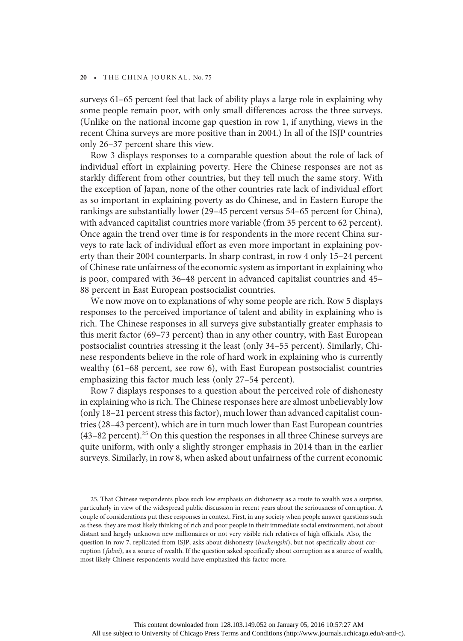surveys 61–65 percent feel that lack of ability plays a large role in explaining why some people remain poor, with only small differences across the three surveys. (Unlike on the national income gap question in row 1, if anything, views in the recent China surveys are more positive than in 2004.) In all of the ISJP countries only 26–37 percent share this view.

Row 3 displays responses to a comparable question about the role of lack of individual effort in explaining poverty. Here the Chinese responses are not as starkly different from other countries, but they tell much the same story. With the exception of Japan, none of the other countries rate lack of individual effort as so important in explaining poverty as do Chinese, and in Eastern Europe the rankings are substantially lower (29–45 percent versus 54–65 percent for China), with advanced capitalist countries more variable (from 35 percent to 62 percent). Once again the trend over time is for respondents in the more recent China surveys to rate lack of individual effort as even more important in explaining poverty than their 2004 counterparts. In sharp contrast, in row 4 only 15–24 percent of Chinese rate unfairness of the economic system as important in explaining who is poor, compared with 36–48 percent in advanced capitalist countries and 45– 88 percent in East European postsocialist countries.

We now move on to explanations of why some people are rich. Row 5 displays responses to the perceived importance of talent and ability in explaining who is rich. The Chinese responses in all surveys give substantially greater emphasis to this merit factor (69–73 percent) than in any other country, with East European postsocialist countries stressing it the least (only 34–55 percent). Similarly, Chinese respondents believe in the role of hard work in explaining who is currently wealthy (61–68 percent, see row 6), with East European postsocialist countries emphasizing this factor much less (only 27–54 percent).

Row 7 displays responses to a question about the perceived role of dishonesty in explaining who is rich. The Chinese responses here are almost unbelievably low (only 18–21 percent stress this factor), much lower than advanced capitalist countries (28–43 percent), which are in turn much lower than East European countries  $(43-82$  percent).<sup>25</sup> On this question the responses in all three Chinese surveys are quite uniform, with only a slightly stronger emphasis in 2014 than in the earlier surveys. Similarly, in row 8, when asked about unfairness of the current economic

<sup>25.</sup> That Chinese respondents place such low emphasis on dishonesty as a route to wealth was a surprise, particularly in view of the widespread public discussion in recent years about the seriousness of corruption. A couple of considerations put these responses in context. First, in any society when people answer questions such as these, they are most likely thinking of rich and poor people in their immediate social environment, not about distant and largely unknown new millionaires or not very visible rich relatives of high officials. Also, the question in row 7, replicated from ISJP, asks about dishonesty (buchengshi), but not specifically about corruption (fubai), as a source of wealth. If the question asked specifically about corruption as a source of wealth, most likely Chinese respondents would have emphasized this factor more.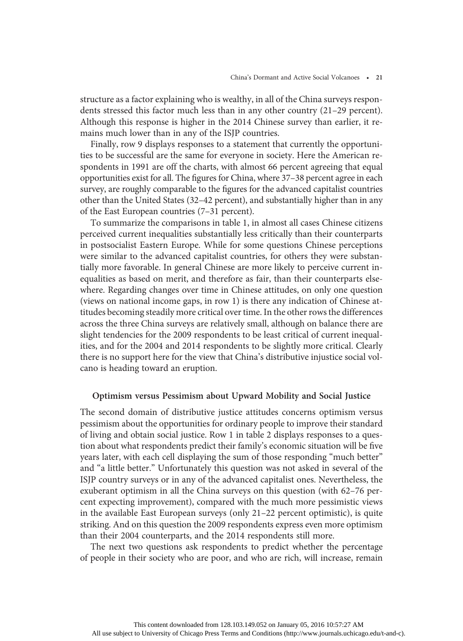structure as a factor explaining who is wealthy, in all of the China surveys respondents stressed this factor much less than in any other country (21–29 percent). Although this response is higher in the 2014 Chinese survey than earlier, it remains much lower than in any of the ISJP countries.

Finally, row 9 displays responses to a statement that currently the opportunities to be successful are the same for everyone in society. Here the American respondents in 1991 are off the charts, with almost 66 percent agreeing that equal opportunities exist for all. The figures for China, where 37–38 percent agree in each survey, are roughly comparable to the figures for the advanced capitalist countries other than the United States (32–42 percent), and substantially higher than in any of the East European countries (7–31 percent).

To summarize the comparisons in table 1, in almost all cases Chinese citizens perceived current inequalities substantially less critically than their counterparts in postsocialist Eastern Europe. While for some questions Chinese perceptions were similar to the advanced capitalist countries, for others they were substantially more favorable. In general Chinese are more likely to perceive current inequalities as based on merit, and therefore as fair, than their counterparts elsewhere. Regarding changes over time in Chinese attitudes, on only one question (views on national income gaps, in row 1) is there any indication of Chinese attitudes becoming steadily more critical over time. In the other rows the differences across the three China surveys are relatively small, although on balance there are slight tendencies for the 2009 respondents to be least critical of current inequalities, and for the 2004 and 2014 respondents to be slightly more critical. Clearly there is no support here for the view that China's distributive injustice social volcano is heading toward an eruption.

## Optimism versus Pessimism about Upward Mobility and Social Justice

The second domain of distributive justice attitudes concerns optimism versus pessimism about the opportunities for ordinary people to improve their standard of living and obtain social justice. Row 1 in table 2 displays responses to a question about what respondents predict their family's economic situation will be five years later, with each cell displaying the sum of those responding "much better" and "a little better." Unfortunately this question was not asked in several of the ISJP country surveys or in any of the advanced capitalist ones. Nevertheless, the exuberant optimism in all the China surveys on this question (with 62–76 percent expecting improvement), compared with the much more pessimistic views in the available East European surveys (only 21–22 percent optimistic), is quite striking. And on this question the 2009 respondents express even more optimism than their 2004 counterparts, and the 2014 respondents still more.

The next two questions ask respondents to predict whether the percentage of people in their society who are poor, and who are rich, will increase, remain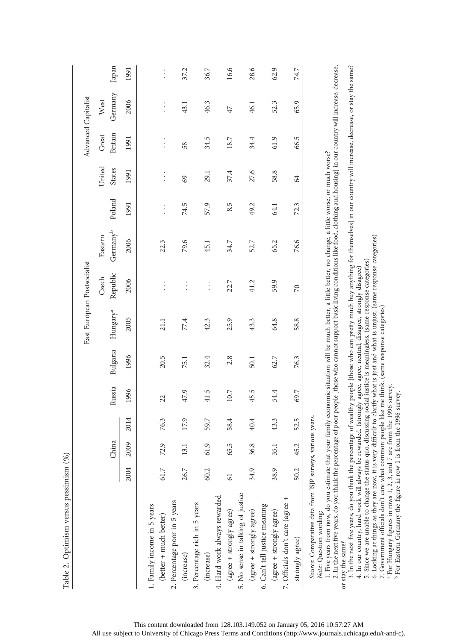|                                                                                                                                                                                                                                                                                                                                                                                                                                                                                                                                                                                                                                                                                                                                                                                                                                                                                                                                                                                 |                |                     |      |        |          | East European Postsocialist                                                      |           |                      |          |               | Advanced Capitalist |         |          |
|---------------------------------------------------------------------------------------------------------------------------------------------------------------------------------------------------------------------------------------------------------------------------------------------------------------------------------------------------------------------------------------------------------------------------------------------------------------------------------------------------------------------------------------------------------------------------------------------------------------------------------------------------------------------------------------------------------------------------------------------------------------------------------------------------------------------------------------------------------------------------------------------------------------------------------------------------------------------------------|----------------|---------------------|------|--------|----------|----------------------------------------------------------------------------------|-----------|----------------------|----------|---------------|---------------------|---------|----------|
|                                                                                                                                                                                                                                                                                                                                                                                                                                                                                                                                                                                                                                                                                                                                                                                                                                                                                                                                                                                 |                |                     |      |        |          |                                                                                  | Czech     | Eastern              |          | United        | Great               | West    |          |
|                                                                                                                                                                                                                                                                                                                                                                                                                                                                                                                                                                                                                                                                                                                                                                                                                                                                                                                                                                                 |                | China               |      | Russia | Bulgaria | Hungary <sup>a</sup>                                                             | Republic  | Germany <sup>b</sup> | Poland   | <b>States</b> | <b>Britain</b>      | Germany | Japan    |
|                                                                                                                                                                                                                                                                                                                                                                                                                                                                                                                                                                                                                                                                                                                                                                                                                                                                                                                                                                                 | 2004           | 2009                | 2014 | 1996   | 1996     | 2005                                                                             | 2006      | 2006                 | 1991     | 1991          | 1991                | 2006    | 1991     |
| 1. Family income in 5 years                                                                                                                                                                                                                                                                                                                                                                                                                                                                                                                                                                                                                                                                                                                                                                                                                                                                                                                                                     |                |                     |      |        |          |                                                                                  |           |                      |          |               |                     |         |          |
| (better + much better)                                                                                                                                                                                                                                                                                                                                                                                                                                                                                                                                                                                                                                                                                                                                                                                                                                                                                                                                                          | 61.7           | Ο.<br>52            | 76.3 | 22     | 20.5     | 21.1                                                                             |           | 22.3                 | $\vdots$ | $\vdots$      | $\vdots$            |         | $\vdots$ |
| 2. Percentage poor in 5 years                                                                                                                                                                                                                                                                                                                                                                                                                                                                                                                                                                                                                                                                                                                                                                                                                                                                                                                                                   |                |                     |      |        |          |                                                                                  |           |                      |          |               |                     |         |          |
| (increase)                                                                                                                                                                                                                                                                                                                                                                                                                                                                                                                                                                                                                                                                                                                                                                                                                                                                                                                                                                      | 26.7           | 13                  | 17.9 | 47.9   | 75.1     | 77.4                                                                             | $\vdots$  | 79.6                 | 74.5     | 69            | 58                  | 43.1    | 37.2     |
| 3. Percentage rich in 5 years                                                                                                                                                                                                                                                                                                                                                                                                                                                                                                                                                                                                                                                                                                                                                                                                                                                                                                                                                   |                |                     |      |        |          |                                                                                  |           |                      |          |               |                     |         |          |
| (increase)                                                                                                                                                                                                                                                                                                                                                                                                                                                                                                                                                                                                                                                                                                                                                                                                                                                                                                                                                                      | 60.2           | 61.9                | 59.7 | 41.5   | 32.4     | 42.3                                                                             | $\vdots$  | 45.1                 | 57.9     | 29.1          | 34.5                | 46.3    | 36.7     |
| 4. Hard work always rewarded                                                                                                                                                                                                                                                                                                                                                                                                                                                                                                                                                                                                                                                                                                                                                                                                                                                                                                                                                    |                |                     |      |        |          |                                                                                  |           |                      |          |               |                     |         |          |
| (agree + strongly agree)                                                                                                                                                                                                                                                                                                                                                                                                                                                                                                                                                                                                                                                                                                                                                                                                                                                                                                                                                        | $\overline{6}$ | rÙ.<br>65           | 58.4 | 10.7   | 2.8      | 25.9                                                                             | 22.7      | 34.7                 | 8.5      | 37.4          | 18.7                | 47      | 16.6     |
| 5. No sense in talking of justice                                                                                                                                                                                                                                                                                                                                                                                                                                                                                                                                                                                                                                                                                                                                                                                                                                                                                                                                               |                |                     |      |        |          |                                                                                  |           |                      |          |               |                     |         |          |
| (agree + strongly agree)                                                                                                                                                                                                                                                                                                                                                                                                                                                                                                                                                                                                                                                                                                                                                                                                                                                                                                                                                        | 34.9           | œ.<br>$\frac{8}{3}$ | 40.4 | 45.5   | 50.1     | 43.3                                                                             | 41.2      | 52.7                 | 49.2     | 27.6          | 34.4                | 46.1    | 28.6     |
| 6. Can't tell justice meaning                                                                                                                                                                                                                                                                                                                                                                                                                                                                                                                                                                                                                                                                                                                                                                                                                                                                                                                                                   |                |                     |      |        |          |                                                                                  |           |                      |          |               |                     |         |          |
| (agree + strongly agree)                                                                                                                                                                                                                                                                                                                                                                                                                                                                                                                                                                                                                                                                                                                                                                                                                                                                                                                                                        | 38.9           | 35                  | 43.3 | 54.4   | 62.7     | 64.8                                                                             | 59.9      | 65.2                 | 64.1     | 58.8          | 61.9                | 52.3    | 62.9     |
| 7. Officials don't care (agree +                                                                                                                                                                                                                                                                                                                                                                                                                                                                                                                                                                                                                                                                                                                                                                                                                                                                                                                                                |                |                     |      |        |          |                                                                                  |           |                      |          |               |                     |         |          |
| strongly agree)                                                                                                                                                                                                                                                                                                                                                                                                                                                                                                                                                                                                                                                                                                                                                                                                                                                                                                                                                                 | 50.2           | L,<br>45            | 52.5 | 69.7   | 76.3     | 58.8                                                                             | $\approx$ | 76.6                 | 72.3     | $\Im$         | 66.5                | 65.9    | 74.7     |
| 3. In the next five years, do you think the percentage of wealthy people [those who can pretty much buy anything for themselves] in our country will increase, decrease, or stay the same?<br>2. In the next five years, do you think the percentage of poor people [those who cannot support basic living conditions like food, clothing and housing] in our country will increase, decrease,<br>1. Five years from now, do you estimate that your family economic situation will be much better, a little better, no change, a little worse, or much worse?<br>5. Since we are unable to change the status quo, discussing social justice is meaningless. (same response categories)<br>4. In our country, hard work will always be rewarded. (strongly agree, agree, neutral, disagree, strongly disagree)<br>Source: Comparative data from ISJP surveys, various years.<br>6. Looking at things as they are now, it is very<br>Note: Question wording:<br>or stay the same? |                |                     |      |        |          | difficult to clarify what is just and what is unjust. (same response categories) |           |                      |          |               |                     |         |          |

Table 2. Optimism versus pessimism (%) Table 2. Optimism versus pessimism (%) 7. Government officials don't care what common people like me think. (same response categories)

 For Hungary figures in rows 1, 2, 3, and 7 are from the 1996 survey. For Eastern Germany the figure in row 1 is from the 1996 survey.

ab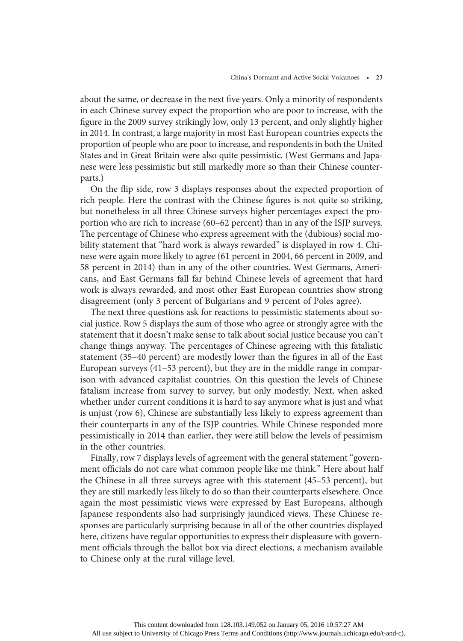about the same, or decrease in the next five years. Only a minority of respondents in each Chinese survey expect the proportion who are poor to increase, with the figure in the 2009 survey strikingly low, only 13 percent, and only slightly higher in 2014. In contrast, a large majority in most East European countries expects the proportion of people who are poor to increase, and respondents in both the United States and in Great Britain were also quite pessimistic. (West Germans and Japanese were less pessimistic but still markedly more so than their Chinese counterparts.)

On the flip side, row 3 displays responses about the expected proportion of rich people. Here the contrast with the Chinese figures is not quite so striking, but nonetheless in all three Chinese surveys higher percentages expect the proportion who are rich to increase (60–62 percent) than in any of the ISJP surveys. The percentage of Chinese who express agreement with the (dubious) social mobility statement that "hard work is always rewarded" is displayed in row 4. Chinese were again more likely to agree (61 percent in 2004, 66 percent in 2009, and 58 percent in 2014) than in any of the other countries. West Germans, Americans, and East Germans fall far behind Chinese levels of agreement that hard work is always rewarded, and most other East European countries show strong disagreement (only 3 percent of Bulgarians and 9 percent of Poles agree).

The next three questions ask for reactions to pessimistic statements about social justice. Row 5 displays the sum of those who agree or strongly agree with the statement that it doesn't make sense to talk about social justice because you can't change things anyway. The percentages of Chinese agreeing with this fatalistic statement (35–40 percent) are modestly lower than the figures in all of the East European surveys (41–53 percent), but they are in the middle range in comparison with advanced capitalist countries. On this question the levels of Chinese fatalism increase from survey to survey, but only modestly. Next, when asked whether under current conditions it is hard to say anymore what is just and what is unjust (row 6), Chinese are substantially less likely to express agreement than their counterparts in any of the ISJP countries. While Chinese responded more pessimistically in 2014 than earlier, they were still below the levels of pessimism in the other countries.

Finally, row 7 displays levels of agreement with the general statement "government officials do not care what common people like me think." Here about half the Chinese in all three surveys agree with this statement (45–53 percent), but they are still markedly less likely to do so than their counterparts elsewhere. Once again the most pessimistic views were expressed by East Europeans, although Japanese respondents also had surprisingly jaundiced views. These Chinese responses are particularly surprising because in all of the other countries displayed here, citizens have regular opportunities to express their displeasure with government officials through the ballot box via direct elections, a mechanism available to Chinese only at the rural village level.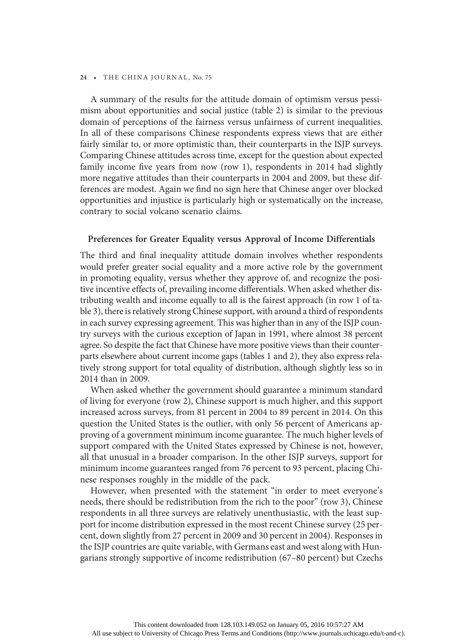A summary of the results for the attitude domain of optimism versus pessimism about opportunities and social justice (table 2) is similar to the previous domain of perceptions of the fairness versus unfairness of current inequalities. In all of these comparisons Chinese respondents express views that are either fairly similar to, or more optimistic than, their counterparts in the ISJP surveys. Comparing Chinese attitudes across time, except for the question about expected family income five years from now (row 1), respondents in 2014 had slightly more negative attitudes than their counterparts in 2004 and 2009, but these differences are modest. Again we find no sign here that Chinese anger over blocked opportunities and injustice is particularly high or systematically on the increase, contrary to social volcano scenario claims.

## Preferences for Greater Equality versus Approval of Income Differentials

The third and final inequality attitude domain involves whether respondents would prefer greater social equality and a more active role by the government in promoting equality, versus whether they approve of, and recognize the positive incentive effects of, prevailing income differentials. When asked whether distributing wealth and income equally to all is the fairest approach (in row 1 of table 3), there is relatively strong Chinese support, with around a third of respondents in each survey expressing agreement. This was higher than in any of the ISJP country surveys with the curious exception of Japan in 1991, where almost 38 percent agree. So despite the fact that Chinese have more positive views than their counterparts elsewhere about current income gaps (tables 1 and 2), they also express relatively strong support for total equality of distribution, although slightly less so in 2014 than in 2009.

When asked whether the government should guarantee a minimum standard of living for everyone (row 2), Chinese support is much higher, and this support increased across surveys, from 81 percent in 2004 to 89 percent in 2014. On this question the United States is the outlier, with only 56 percent of Americans approving of a government minimum income guarantee. The much higher levels of support compared with the United States expressed by Chinese is not, however, all that unusual in a broader comparison. In the other ISJP surveys, support for minimum income guarantees ranged from 76 percent to 93 percent, placing Chinese responses roughly in the middle of the pack.

However, when presented with the statement "in order to meet everyone's needs, there should be redistribution from the rich to the poor" (row 3), Chinese respondents in all three surveys are relatively unenthusiastic, with the least support for income distribution expressed in the most recent Chinese survey (25 percent, down slightly from 27 percent in 2009 and 30 percent in 2004). Responses in the ISJP countries are quite variable, with Germans east and west along with Hungarians strongly supportive of income redistribution (67–80 percent) but Czechs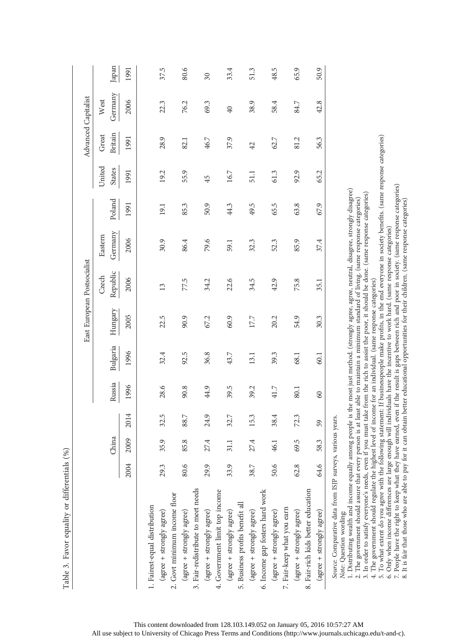|                                                                                                                                                                                                                                                                                                                                                                                                                                                                                                                                                                                                                                                                                                                                                                                                                                                                                                                                                                                                                                                                                                                                                                   |      |                       |      |        |          |         | East European Postsocialist |                                                                                            |        |               | Advanced Capitalist |         |        |
|-------------------------------------------------------------------------------------------------------------------------------------------------------------------------------------------------------------------------------------------------------------------------------------------------------------------------------------------------------------------------------------------------------------------------------------------------------------------------------------------------------------------------------------------------------------------------------------------------------------------------------------------------------------------------------------------------------------------------------------------------------------------------------------------------------------------------------------------------------------------------------------------------------------------------------------------------------------------------------------------------------------------------------------------------------------------------------------------------------------------------------------------------------------------|------|-----------------------|------|--------|----------|---------|-----------------------------|--------------------------------------------------------------------------------------------|--------|---------------|---------------------|---------|--------|
|                                                                                                                                                                                                                                                                                                                                                                                                                                                                                                                                                                                                                                                                                                                                                                                                                                                                                                                                                                                                                                                                                                                                                                   |      |                       |      |        |          |         | Czech                       | Eastern                                                                                    |        | United        | Great               | West    |        |
|                                                                                                                                                                                                                                                                                                                                                                                                                                                                                                                                                                                                                                                                                                                                                                                                                                                                                                                                                                                                                                                                                                                                                                   |      | China                 |      | Russia | Bulgaria | Hungary | Republic                    | Germany                                                                                    | Poland | <b>States</b> | <b>Britain</b>      | Germany | Japan  |
|                                                                                                                                                                                                                                                                                                                                                                                                                                                                                                                                                                                                                                                                                                                                                                                                                                                                                                                                                                                                                                                                                                                                                                   | 2004 | 009<br>$\breve{\sim}$ | 2014 | 1996   | 1996     | 2005    | 2006                        | 2006                                                                                       | 1991   | 1991          | 1991                | 2006    | 1991   |
| 1. Fairest-equal distribution                                                                                                                                                                                                                                                                                                                                                                                                                                                                                                                                                                                                                                                                                                                                                                                                                                                                                                                                                                                                                                                                                                                                     |      |                       |      |        |          |         |                             |                                                                                            |        |               |                     |         |        |
| $($ agree $+$ strongly agree)                                                                                                                                                                                                                                                                                                                                                                                                                                                                                                                                                                                                                                                                                                                                                                                                                                                                                                                                                                                                                                                                                                                                     | 29.3 | 35.9                  | 32.5 | 28.6   | 32.4     | 22.5    | 13                          | 30.9                                                                                       | 19.1   | 19.2          | 28.9                | 22.3    | 37.5   |
| 2. Govt minimum income floor                                                                                                                                                                                                                                                                                                                                                                                                                                                                                                                                                                                                                                                                                                                                                                                                                                                                                                                                                                                                                                                                                                                                      |      |                       |      |        |          |         |                             |                                                                                            |        |               |                     |         |        |
| (agree + strongly agree)                                                                                                                                                                                                                                                                                                                                                                                                                                                                                                                                                                                                                                                                                                                                                                                                                                                                                                                                                                                                                                                                                                                                          | 80.6 | 85.8                  | 88.7 | 90.8   | 92.5     | 90.9    | 77.5                        | 86.4                                                                                       | 85.3   | 55.9          | 82.1                | 76.2    | 80.6   |
| 3. Fair-redistribute to meet needs                                                                                                                                                                                                                                                                                                                                                                                                                                                                                                                                                                                                                                                                                                                                                                                                                                                                                                                                                                                                                                                                                                                                |      |                       |      |        |          |         |                             |                                                                                            |        |               |                     |         |        |
| (agree + strongly agree)                                                                                                                                                                                                                                                                                                                                                                                                                                                                                                                                                                                                                                                                                                                                                                                                                                                                                                                                                                                                                                                                                                                                          | 29.9 | 27.4                  | 24.9 | 44.9   | 36.8     | 67.2    | 34.2                        | 79.6                                                                                       | 50.9   | 45            | 46.7                | 69.3    | $30\,$ |
| 4. Government limit top income                                                                                                                                                                                                                                                                                                                                                                                                                                                                                                                                                                                                                                                                                                                                                                                                                                                                                                                                                                                                                                                                                                                                    |      |                       |      |        |          |         |                             |                                                                                            |        |               |                     |         |        |
| (agree + strongly agree)                                                                                                                                                                                                                                                                                                                                                                                                                                                                                                                                                                                                                                                                                                                                                                                                                                                                                                                                                                                                                                                                                                                                          | 33.9 | 31.1                  | 32.7 | 39.5   | 43.7     | 60.9    | 22.6                        | 59.1                                                                                       | 44.3   | 16.7          | 37.9                | 40      | 33.4   |
| 5. Business profits benefit all                                                                                                                                                                                                                                                                                                                                                                                                                                                                                                                                                                                                                                                                                                                                                                                                                                                                                                                                                                                                                                                                                                                                   |      |                       |      |        |          |         |                             |                                                                                            |        |               |                     |         |        |
| (agree + strongly agree)                                                                                                                                                                                                                                                                                                                                                                                                                                                                                                                                                                                                                                                                                                                                                                                                                                                                                                                                                                                                                                                                                                                                          | 38.7 | 27.4                  | 15.3 | 39.2   | 13.1     | 17.7    | 34.5                        | 32.3                                                                                       | 49.5   | 51.1          | 42                  | 38.9    | 51.3   |
| 6. Income gap fosters hard work                                                                                                                                                                                                                                                                                                                                                                                                                                                                                                                                                                                                                                                                                                                                                                                                                                                                                                                                                                                                                                                                                                                                   |      |                       |      |        |          |         |                             |                                                                                            |        |               |                     |         |        |
| (agree + strongly agree)                                                                                                                                                                                                                                                                                                                                                                                                                                                                                                                                                                                                                                                                                                                                                                                                                                                                                                                                                                                                                                                                                                                                          | 50.6 | $\overline{61}$       | 38.4 | 41.7   | 39.3     | 20.2    | 42.9                        | 52.3                                                                                       | 65.5   | 61.3          | 62.7                | 58.4    | 48.5   |
| 7. Fair-keep what you earn                                                                                                                                                                                                                                                                                                                                                                                                                                                                                                                                                                                                                                                                                                                                                                                                                                                                                                                                                                                                                                                                                                                                        |      |                       |      |        |          |         |                             |                                                                                            |        |               |                     |         |        |
| (agree + strongly agree)                                                                                                                                                                                                                                                                                                                                                                                                                                                                                                                                                                                                                                                                                                                                                                                                                                                                                                                                                                                                                                                                                                                                          | 62.8 | 69.5                  | 72.3 | 80.1   | 68.1     | 54.9    | 75.8                        | 85.9                                                                                       | 63.8   | 92.9          | 81.2                | 84.7    | 65.9   |
| 8. Fair-rich kids better education                                                                                                                                                                                                                                                                                                                                                                                                                                                                                                                                                                                                                                                                                                                                                                                                                                                                                                                                                                                                                                                                                                                                |      |                       |      |        |          |         |                             |                                                                                            |        |               |                     |         |        |
| (agree + strongly agree)                                                                                                                                                                                                                                                                                                                                                                                                                                                                                                                                                                                                                                                                                                                                                                                                                                                                                                                                                                                                                                                                                                                                          | 64.6 | 58.3                  | 59   | 60     | 60.1     | 30.3    | 35.1                        | 37.4                                                                                       | 67.9   | 65.2          | 56.3                | 42.8    | 50.9   |
| 5. To what extent do you agree with the following statement: If businesspeople make profits, in the end everyone in society benefits. (same response categories)<br>7. People have the right to keep what they have earned, even if the result is gaps between rich and poor in society. (same response categories)<br>1. Distributing wealth and income equally among people is the most just method. (strongly agree, agree, neutral, disagree, strongly disagree)<br>3. In order to satisfy everyone's needs, even if you must take from the rich to assist the poor, it should be done. (same response categories)<br>2. The government should assure that every person is at least able to maintain a minimum standard of living. (same response categories)<br>6. Only when income differences are large enough will individuals have the incentive to work hard. (same response categories)<br>4. The government should regulate the highest level of income for an individual. (same response categories)<br>Source: Comparative data from ISJP surveys, various years.<br>8. It is fair that those who are able to pay for it<br>Note: Question wording: |      |                       |      |        |          |         |                             | can obtain better educational opportunities for their children. (same response categories) |        |               |                     |         |        |

Table 3. Favor equality or differentials (%) Table 3. Favor equality or differentials (%)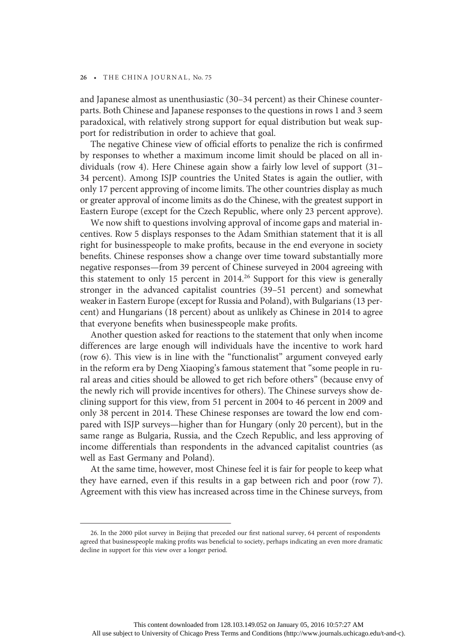and Japanese almost as unenthusiastic (30–34 percent) as their Chinese counterparts. Both Chinese and Japanese responses to the questions in rows 1 and 3 seem paradoxical, with relatively strong support for equal distribution but weak support for redistribution in order to achieve that goal.

The negative Chinese view of official efforts to penalize the rich is confirmed by responses to whether a maximum income limit should be placed on all individuals (row 4). Here Chinese again show a fairly low level of support (31– 34 percent). Among ISJP countries the United States is again the outlier, with only 17 percent approving of income limits. The other countries display as much or greater approval of income limits as do the Chinese, with the greatest support in Eastern Europe (except for the Czech Republic, where only 23 percent approve).

We now shift to questions involving approval of income gaps and material incentives. Row 5 displays responses to the Adam Smithian statement that it is all right for businesspeople to make profits, because in the end everyone in society benefits. Chinese responses show a change over time toward substantially more negative responses—from 39 percent of Chinese surveyed in 2004 agreeing with this statement to only 15 percent in 2014.<sup>26</sup> Support for this view is generally stronger in the advanced capitalist countries (39–51 percent) and somewhat weaker in Eastern Europe (except for Russia and Poland), with Bulgarians (13 percent) and Hungarians (18 percent) about as unlikely as Chinese in 2014 to agree that everyone benefits when businesspeople make profits.

Another question asked for reactions to the statement that only when income differences are large enough will individuals have the incentive to work hard (row 6). This view is in line with the "functionalist" argument conveyed early in the reform era by Deng Xiaoping's famous statement that "some people in rural areas and cities should be allowed to get rich before others" (because envy of the newly rich will provide incentives for others). The Chinese surveys show declining support for this view, from 51 percent in 2004 to 46 percent in 2009 and only 38 percent in 2014. These Chinese responses are toward the low end compared with ISJP surveys—higher than for Hungary (only 20 percent), but in the same range as Bulgaria, Russia, and the Czech Republic, and less approving of income differentials than respondents in the advanced capitalist countries (as well as East Germany and Poland).

At the same time, however, most Chinese feel it is fair for people to keep what they have earned, even if this results in a gap between rich and poor (row 7). Agreement with this view has increased across time in the Chinese surveys, from

<sup>26.</sup> In the 2000 pilot survey in Beijing that preceded our first national survey, 64 percent of respondents agreed that businesspeople making profits was beneficial to society, perhaps indicating an even more dramatic decline in support for this view over a longer period.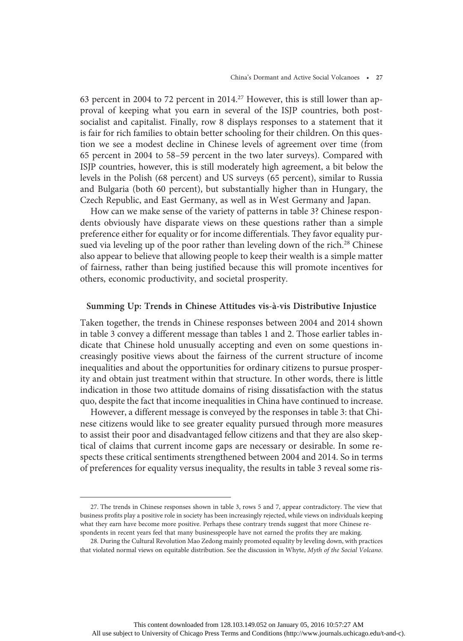63 percent in 2004 to 72 percent in 2014.<sup>27</sup> However, this is still lower than approval of keeping what you earn in several of the ISJP countries, both postsocialist and capitalist. Finally, row 8 displays responses to a statement that it is fair for rich families to obtain better schooling for their children. On this question we see a modest decline in Chinese levels of agreement over time (from 65 percent in 2004 to 58–59 percent in the two later surveys). Compared with ISJP countries, however, this is still moderately high agreement, a bit below the levels in the Polish (68 percent) and US surveys (65 percent), similar to Russia and Bulgaria (both 60 percent), but substantially higher than in Hungary, the Czech Republic, and East Germany, as well as in West Germany and Japan.

How can we make sense of the variety of patterns in table 3? Chinese respondents obviously have disparate views on these questions rather than a simple preference either for equality or for income differentials. They favor equality pursued via leveling up of the poor rather than leveling down of the rich.<sup>28</sup> Chinese also appear to believe that allowing people to keep their wealth is a simple matter of fairness, rather than being justified because this will promote incentives for others, economic productivity, and societal prosperity.

## Summing Up: Trends in Chinese Attitudes vis-à-vis Distributive Injustice

Taken together, the trends in Chinese responses between 2004 and 2014 shown in table 3 convey a different message than tables 1 and 2. Those earlier tables indicate that Chinese hold unusually accepting and even on some questions increasingly positive views about the fairness of the current structure of income inequalities and about the opportunities for ordinary citizens to pursue prosperity and obtain just treatment within that structure. In other words, there is little indication in those two attitude domains of rising dissatisfaction with the status quo, despite the fact that income inequalities in China have continued to increase.

However, a different message is conveyed by the responses in table 3: that Chinese citizens would like to see greater equality pursued through more measures to assist their poor and disadvantaged fellow citizens and that they are also skeptical of claims that current income gaps are necessary or desirable. In some respects these critical sentiments strengthened between 2004 and 2014. So in terms of preferences for equality versus inequality, the results in table 3 reveal some ris-

<sup>27.</sup> The trends in Chinese responses shown in table 3, rows 5 and 7, appear contradictory. The view that business profits play a positive role in society has been increasingly rejected, while views on individuals keeping what they earn have become more positive. Perhaps these contrary trends suggest that more Chinese respondents in recent years feel that many businesspeople have not earned the profits they are making.

<sup>28.</sup> During the Cultural Revolution Mao Zedong mainly promoted equality by leveling down, with practices that violated normal views on equitable distribution. See the discussion in Whyte, Myth of the Social Volcano.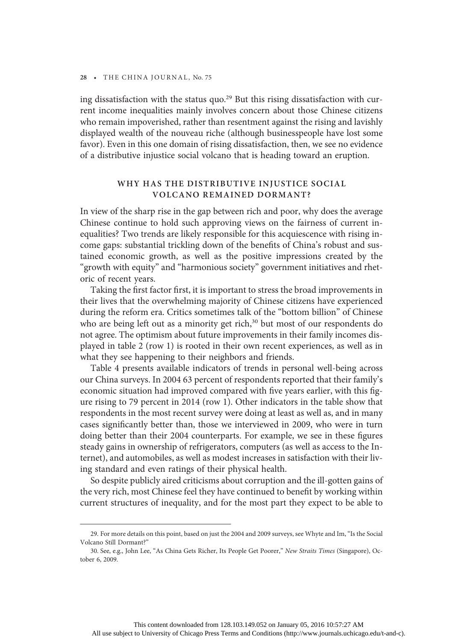ing dissatisfaction with the status quo.<sup>29</sup> But this rising dissatisfaction with current income inequalities mainly involves concern about those Chinese citizens who remain impoverished, rather than resentment against the rising and lavishly displayed wealth of the nouveau riche (although businesspeople have lost some favor). Even in this one domain of rising dissatisfaction, then, we see no evidence of a distributive injustice social volcano that is heading toward an eruption.

## WHY HAS THE DISTRIBUTIVE INJUSTICE SOCIAL VOLCANO REMAINED DORMANT?

In view of the sharp rise in the gap between rich and poor, why does the average Chinese continue to hold such approving views on the fairness of current inequalities? Two trends are likely responsible for this acquiescence with rising income gaps: substantial trickling down of the benefits of China's robust and sustained economic growth, as well as the positive impressions created by the "growth with equity" and "harmonious society" government initiatives and rhetoric of recent years.

Taking the first factor first, it is important to stress the broad improvements in their lives that the overwhelming majority of Chinese citizens have experienced during the reform era. Critics sometimes talk of the "bottom billion" of Chinese who are being left out as a minority get rich,<sup>30</sup> but most of our respondents do not agree. The optimism about future improvements in their family incomes displayed in table 2 (row 1) is rooted in their own recent experiences, as well as in what they see happening to their neighbors and friends.

Table 4 presents available indicators of trends in personal well-being across our China surveys. In 2004 63 percent of respondents reported that their family's economic situation had improved compared with five years earlier, with this figure rising to 79 percent in 2014 (row 1). Other indicators in the table show that respondents in the most recent survey were doing at least as well as, and in many cases significantly better than, those we interviewed in 2009, who were in turn doing better than their 2004 counterparts. For example, we see in these figures steady gains in ownership of refrigerators, computers (as well as access to the Internet), and automobiles, as well as modest increases in satisfaction with their living standard and even ratings of their physical health.

So despite publicly aired criticisms about corruption and the ill-gotten gains of the very rich, most Chinese feel they have continued to benefit by working within current structures of inequality, and for the most part they expect to be able to

<sup>29.</sup> For more details on this point, based on just the 2004 and 2009 surveys, see Whyte and Im, "Is the Social Volcano Still Dormant?"

<sup>30.</sup> See, e.g., John Lee, "As China Gets Richer, Its People Get Poorer," New Straits Times (Singapore), October 6, 2009.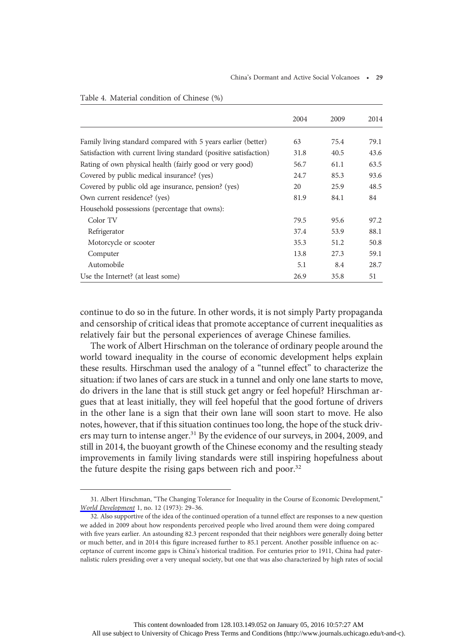|                                                                   | 2004 | 2009 | 2014 |
|-------------------------------------------------------------------|------|------|------|
|                                                                   |      |      |      |
| Family living standard compared with 5 years earlier (better)     | 63   | 75.4 | 79.1 |
| Satisfaction with current living standard (positive satisfaction) | 31.8 | 40.5 | 43.6 |
| Rating of own physical health (fairly good or very good)          | 56.7 | 61.1 | 63.5 |
| Covered by public medical insurance? (yes)                        | 24.7 | 85.3 | 93.6 |
| Covered by public old age insurance, pension? (yes)               | 20   | 25.9 | 48.5 |
| Own current residence? (yes)                                      | 81.9 | 84.1 | 84   |
| Household possessions (percentage that owns):                     |      |      |      |
| Color TV                                                          | 79.5 | 95.6 | 97.2 |
| Refrigerator                                                      | 37.4 | 53.9 | 88.1 |
| Motorcycle or scooter                                             | 35.3 | 51.2 | 50.8 |
| Computer                                                          | 13.8 | 27.3 | 59.1 |
| Automobile                                                        | 5.1  | 8.4  | 28.7 |
| Use the Internet? (at least some)                                 | 26.9 | 35.8 | 51   |

|  |  | Table 4. Material condition of Chinese (%) |  |  |  |
|--|--|--------------------------------------------|--|--|--|
|--|--|--------------------------------------------|--|--|--|

continue to do so in the future. In other words, it is not simply Party propaganda and censorship of critical ideas that promote acceptance of current inequalities as relatively fair but the personal experiences of average Chinese families.

The work of Albert Hirschman on the tolerance of ordinary people around the world toward inequality in the course of economic development helps explain these results. Hirschman used the analogy of a "tunnel effect" to characterize the situation: if two lanes of cars are stuck in a tunnel and only one lane starts to move, do drivers in the lane that is still stuck get angry or feel hopeful? Hirschman argues that at least initially, they will feel hopeful that the good fortune of drivers in the other lane is a sign that their own lane will soon start to move. He also notes, however, that if this situation continues too long, the hope of the stuck drivers may turn to intense anger.<sup>31</sup> By the evidence of our surveys, in 2004, 2009, and still in 2014, the buoyant growth of the Chinese economy and the resulting steady improvements in family living standards were still inspiring hopefulness about the future despite the rising gaps between rich and poor.<sup>32</sup>

<sup>31.</sup> Albert Hirschman, "The Changing Tolerance for Inequality in the Course of Economic Development," [World Development](http://www.journals.uchicago.edu/action/showLinks?crossref=10.1016%2F0305-750X%2873%2990109-5) 1, no. 12 (1973): 29-36.

<sup>32.</sup> Also supportive of the idea of the continued operation of a tunnel effect are responses to a new question we added in 2009 about how respondents perceived people who lived around them were doing compared with five years earlier. An astounding 82.3 percent responded that their neighbors were generally doing better or much better, and in 2014 this figure increased further to 85.1 percent. Another possible influence on acceptance of current income gaps is China's historical tradition. For centuries prior to 1911, China had paternalistic rulers presiding over a very unequal society, but one that was also characterized by high rates of social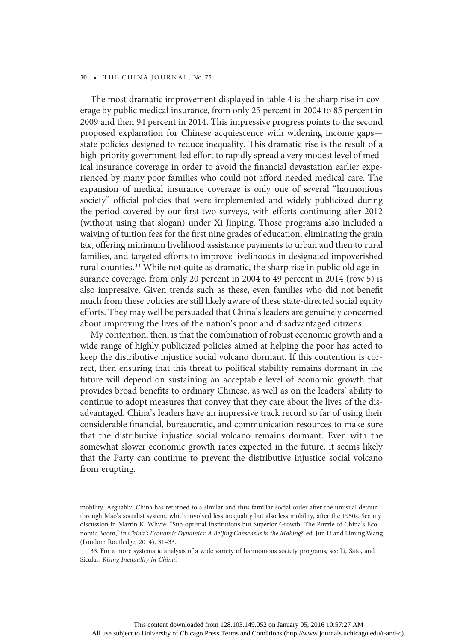The most dramatic improvement displayed in table 4 is the sharp rise in coverage by public medical insurance, from only 25 percent in 2004 to 85 percent in 2009 and then 94 percent in 2014. This impressive progress points to the second proposed explanation for Chinese acquiescence with widening income gaps state policies designed to reduce inequality. This dramatic rise is the result of a high-priority government-led effort to rapidly spread a very modest level of medical insurance coverage in order to avoid the financial devastation earlier experienced by many poor families who could not afford needed medical care. The expansion of medical insurance coverage is only one of several "harmonious society" official policies that were implemented and widely publicized during the period covered by our first two surveys, with efforts continuing after 2012 (without using that slogan) under Xi Jinping. Those programs also included a waiving of tuition fees for the first nine grades of education, eliminating the grain tax, offering minimum livelihood assistance payments to urban and then to rural families, and targeted efforts to improve livelihoods in designated impoverished rural counties.<sup>33</sup> While not quite as dramatic, the sharp rise in public old age insurance coverage, from only 20 percent in 2004 to 49 percent in 2014 (row 5) is also impressive. Given trends such as these, even families who did not benefit much from these policies are still likely aware of these state-directed social equity efforts. They may well be persuaded that China's leaders are genuinely concerned about improving the lives of the nation's poor and disadvantaged citizens.

My contention, then, is that the combination of robust economic growth and a wide range of highly publicized policies aimed at helping the poor has acted to keep the distributive injustice social volcano dormant. If this contention is correct, then ensuring that this threat to political stability remains dormant in the future will depend on sustaining an acceptable level of economic growth that provides broad benefits to ordinary Chinese, as well as on the leaders' ability to continue to adopt measures that convey that they care about the lives of the disadvantaged. China's leaders have an impressive track record so far of using their considerable financial, bureaucratic, and communication resources to make sure that the distributive injustice social volcano remains dormant. Even with the somewhat slower economic growth rates expected in the future, it seems likely that the Party can continue to prevent the distributive injustice social volcano from erupting.

mobility. Arguably, China has returned to a similar and thus familiar social order after the unusual detour through Mao's socialist system, which involved less inequality but also less mobility, after the 1950s. See my discussion in Martin K. Whyte, "Sub-optimal Institutions but Superior Growth: The Puzzle of China's Economic Boom," in China's Economic Dynamics: A Beijing Consensus in the Making?, ed. Jun Li and Liming Wang (London: Routledge, 2014), 31–33.

<sup>33.</sup> For a more systematic analysis of a wide variety of harmonious society programs, see Li, Sato, and Sicular, Rising Inequality in China.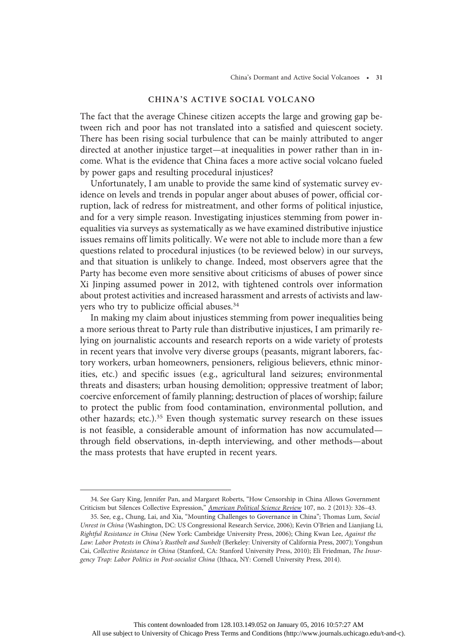## CHINA'S ACTIVE SOCIAL VOLCANO

The fact that the average Chinese citizen accepts the large and growing gap between rich and poor has not translated into a satisfied and quiescent society. There has been rising social turbulence that can be mainly attributed to anger directed at another injustice target—at inequalities in power rather than in income. What is the evidence that China faces a more active social volcano fueled by power gaps and resulting procedural injustices?

Unfortunately, I am unable to provide the same kind of systematic survey evidence on levels and trends in popular anger about abuses of power, official corruption, lack of redress for mistreatment, and other forms of political injustice, and for a very simple reason. Investigating injustices stemming from power inequalities via surveys as systematically as we have examined distributive injustice issues remains off limits politically. We were not able to include more than a few questions related to procedural injustices (to be reviewed below) in our surveys, and that situation is unlikely to change. Indeed, most observers agree that the Party has become even more sensitive about criticisms of abuses of power since Xi Jinping assumed power in 2012, with tightened controls over information about protest activities and increased harassment and arrests of activists and lawyers who try to publicize official abuses.<sup>34</sup>

In making my claim about injustices stemming from power inequalities being a more serious threat to Party rule than distributive injustices, I am primarily relying on journalistic accounts and research reports on a wide variety of protests in recent years that involve very diverse groups (peasants, migrant laborers, factory workers, urban homeowners, pensioners, religious believers, ethnic minorities, etc.) and specific issues (e.g., agricultural land seizures; environmental threats and disasters; urban housing demolition; oppressive treatment of labor; coercive enforcement of family planning; destruction of places of worship; failure to protect the public from food contamination, environmental pollution, and other hazards; etc.).<sup>35</sup> Even though systematic survey research on these issues is not feasible, a considerable amount of information has now accumulated through field observations, in-depth interviewing, and other methods—about the mass protests that have erupted in recent years.

<sup>34.</sup> See Gary King, Jennifer Pan, and Margaret Roberts, "How Censorship in China Allows Government Criticism but Silences Collective Expression," [American Political Science Review](http://www.journals.uchicago.edu/action/showLinks?crossref=10.1017%2FS0003055413000014) 107, no. 2 (2013): 326-43.

<sup>35.</sup> See, e.g., Chung, Lai, and Xia, "Mounting Challenges to Governance in China"; Thomas Lum, Social Unrest in China (Washington, DC: US Congressional Research Service, 2006); Kevin O'Brien and Lianjiang Li, Rightful Resistance in China (New York: Cambridge University Press, 2006); Ching Kwan Lee, Against the Law: Labor Protests in China's Rustbelt and Sunbelt (Berkeley: University of California Press, 2007); Yongshun Cai, Collective Resistance in China (Stanford, CA: Stanford University Press, 2010); Eli Friedman, The Insurgency Trap: Labor Politics in Post-socialist China (Ithaca, NY: Cornell University Press, 2014).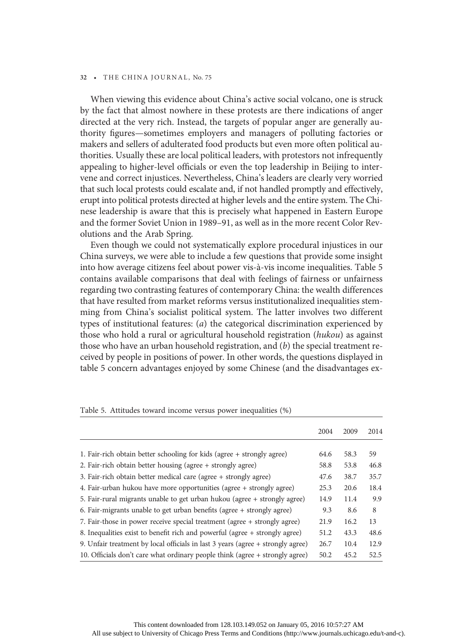When viewing this evidence about China's active social volcano, one is struck by the fact that almost nowhere in these protests are there indications of anger directed at the very rich. Instead, the targets of popular anger are generally authority figures—sometimes employers and managers of polluting factories or makers and sellers of adulterated food products but even more often political authorities. Usually these are local political leaders, with protestors not infrequently appealing to higher-level officials or even the top leadership in Beijing to intervene and correct injustices. Nevertheless, China's leaders are clearly very worried that such local protests could escalate and, if not handled promptly and effectively, erupt into political protests directed at higher levels and the entire system. The Chinese leadership is aware that this is precisely what happened in Eastern Europe and the former Soviet Union in 1989–91, as well as in the more recent Color Revolutions and the Arab Spring.

Even though we could not systematically explore procedural injustices in our China surveys, we were able to include a few questions that provide some insight into how average citizens feel about power vis-à-vis income inequalities. Table 5 contains available comparisons that deal with feelings of fairness or unfairness regarding two contrasting features of contemporary China: the wealth differences that have resulted from market reforms versus institutionalized inequalities stemming from China's socialist political system. The latter involves two different types of institutional features: (a) the categorical discrimination experienced by those who hold a rural or agricultural household registration (hukou) as against those who have an urban household registration, and  $(b)$  the special treatment received by people in positions of power. In other words, the questions displayed in table 5 concern advantages enjoyed by some Chinese (and the disadvantages ex-

|                                                                                 | 2004 | 2009 | 2014 |
|---------------------------------------------------------------------------------|------|------|------|
|                                                                                 |      |      |      |
| 1. Fair-rich obtain better schooling for kids (agree + strongly agree)          | 64.6 | 58.3 | 59   |
| 2. Fair-rich obtain better housing (agree + strongly agree)                     | 58.8 | 53.8 | 46.8 |
| 3. Fair-rich obtain better medical care (agree + strongly agree)                | 47.6 | 38.7 | 35.7 |
| 4. Fair-urban hukou have more opportunities (agree + strongly agree)            | 25.3 | 20.6 | 18.4 |
| 5. Fair-rural migrants unable to get urban hukou (agree + strongly agree)       | 14.9 | 11.4 | 9.9  |
| 6. Fair-migrants unable to get urban benefits (agree + strongly agree)          | 9.3  | 8.6  | 8    |
| 7. Fair-those in power receive special treatment (agree + strongly agree)       | 21.9 | 16.2 | 13   |
| 8. Inequalities exist to benefit rich and powerful (agree + strongly agree)     | 51.2 | 43.3 | 48.6 |
| 9. Unfair treatment by local officials in last 3 years (agree + strongly agree) | 26.7 | 10.4 | 12.9 |
| 10. Officials don't care what ordinary people think (agree + strongly agree)    | 50.2 | 45.2 | 52.5 |

Table 5. Attitudes toward income versus power inequalities (%)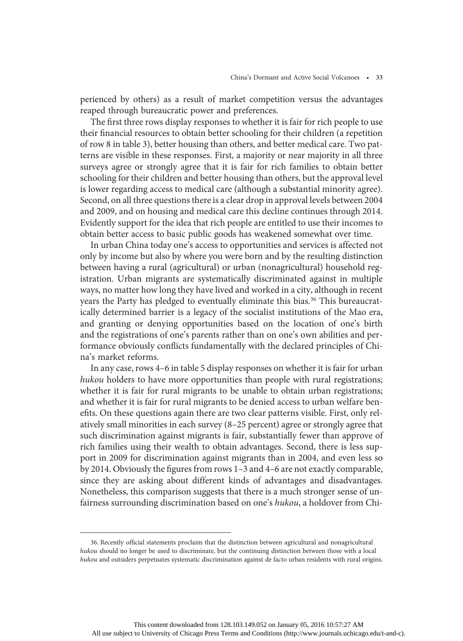perienced by others) as a result of market competition versus the advantages reaped through bureaucratic power and preferences.

The first three rows display responses to whether it is fair for rich people to use their financial resources to obtain better schooling for their children (a repetition of row 8 in table 3), better housing than others, and better medical care. Two patterns are visible in these responses. First, a majority or near majority in all three surveys agree or strongly agree that it is fair for rich families to obtain better schooling for their children and better housing than others, but the approval level is lower regarding access to medical care (although a substantial minority agree). Second, on all three questions there is a clear drop in approval levels between 2004 and 2009, and on housing and medical care this decline continues through 2014. Evidently support for the idea that rich people are entitled to use their incomes to obtain better access to basic public goods has weakened somewhat over time.

In urban China today one's access to opportunities and services is affected not only by income but also by where you were born and by the resulting distinction between having a rural (agricultural) or urban (nonagricultural) household registration. Urban migrants are systematically discriminated against in multiple ways, no matter how long they have lived and worked in a city, although in recent years the Party has pledged to eventually eliminate this bias.<sup>36</sup> This bureaucratically determined barrier is a legacy of the socialist institutions of the Mao era, and granting or denying opportunities based on the location of one's birth and the registrations of one's parents rather than on one's own abilities and performance obviously conflicts fundamentally with the declared principles of China's market reforms.

In any case, rows 4–6 in table 5 display responses on whether it is fair for urban hukou holders to have more opportunities than people with rural registrations; whether it is fair for rural migrants to be unable to obtain urban registrations; and whether it is fair for rural migrants to be denied access to urban welfare benefits. On these questions again there are two clear patterns visible. First, only relatively small minorities in each survey (8–25 percent) agree or strongly agree that such discrimination against migrants is fair, substantially fewer than approve of rich families using their wealth to obtain advantages. Second, there is less support in 2009 for discrimination against migrants than in 2004, and even less so by 2014. Obviously the figures from rows 1–3 and 4–6 are not exactly comparable, since they are asking about different kinds of advantages and disadvantages. Nonetheless, this comparison suggests that there is a much stronger sense of unfairness surrounding discrimination based on one's hukou, a holdover from Chi-

<sup>36.</sup> Recently official statements proclaim that the distinction between agricultural and nonagricultural hukou should no longer be used to discriminate, but the continuing distinction between those with a local hukou and outsiders perpetuates systematic discrimination against de facto urban residents with rural origins.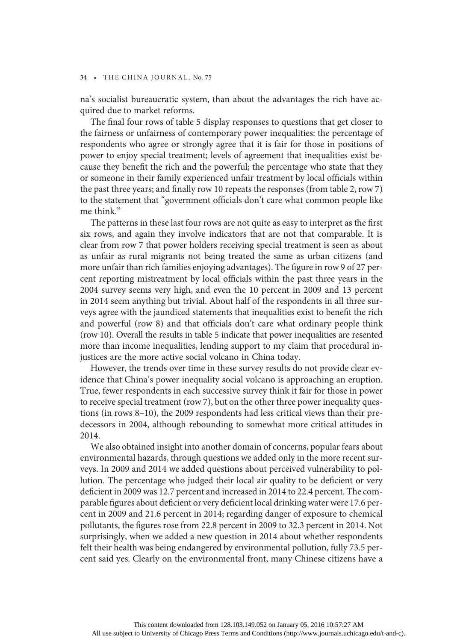na's socialist bureaucratic system, than about the advantages the rich have acquired due to market reforms.

The final four rows of table 5 display responses to questions that get closer to the fairness or unfairness of contemporary power inequalities: the percentage of respondents who agree or strongly agree that it is fair for those in positions of power to enjoy special treatment; levels of agreement that inequalities exist because they benefit the rich and the powerful; the percentage who state that they or someone in their family experienced unfair treatment by local officials within the past three years; and finally row 10 repeats the responses (from table 2, row 7) to the statement that "government officials don't care what common people like me think."

The patterns in these last four rows are not quite as easy to interpret as the first six rows, and again they involve indicators that are not that comparable. It is clear from row 7 that power holders receiving special treatment is seen as about as unfair as rural migrants not being treated the same as urban citizens (and more unfair than rich families enjoying advantages). The figure in row 9 of 27 percent reporting mistreatment by local officials within the past three years in the 2004 survey seems very high, and even the 10 percent in 2009 and 13 percent in 2014 seem anything but trivial. About half of the respondents in all three surveys agree with the jaundiced statements that inequalities exist to benefit the rich and powerful (row 8) and that officials don't care what ordinary people think (row 10). Overall the results in table 5 indicate that power inequalities are resented more than income inequalities, lending support to my claim that procedural injustices are the more active social volcano in China today.

However, the trends over time in these survey results do not provide clear evidence that China's power inequality social volcano is approaching an eruption. True, fewer respondents in each successive survey think it fair for those in power to receive special treatment (row 7), but on the other three power inequality questions (in rows 8–10), the 2009 respondents had less critical views than their predecessors in 2004, although rebounding to somewhat more critical attitudes in 2014.

We also obtained insight into another domain of concerns, popular fears about environmental hazards, through questions we added only in the more recent surveys. In 2009 and 2014 we added questions about perceived vulnerability to pollution. The percentage who judged their local air quality to be deficient or very deficient in 2009 was 12.7 percent and increased in 2014 to 22.4 percent. The comparable figures about deficient or very deficient local drinking water were 17.6 percent in 2009 and 21.6 percent in 2014; regarding danger of exposure to chemical pollutants, the figures rose from 22.8 percent in 2009 to 32.3 percent in 2014. Not surprisingly, when we added a new question in 2014 about whether respondents felt their health was being endangered by environmental pollution, fully 73.5 percent said yes. Clearly on the environmental front, many Chinese citizens have a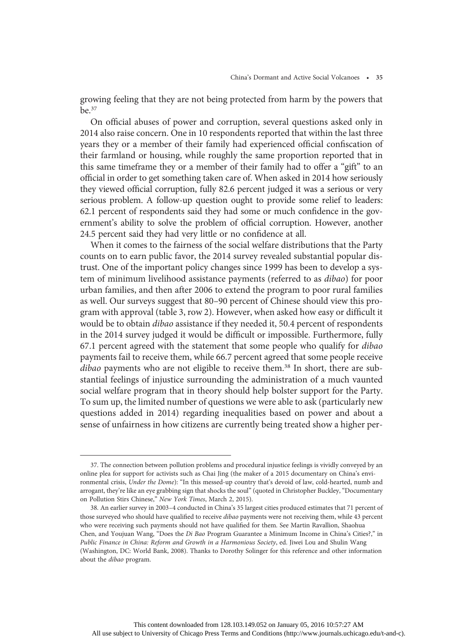growing feeling that they are not being protected from harm by the powers that be.<sup>37</sup>

On official abuses of power and corruption, several questions asked only in 2014 also raise concern. One in 10 respondents reported that within the last three years they or a member of their family had experienced official confiscation of their farmland or housing, while roughly the same proportion reported that in this same timeframe they or a member of their family had to offer a "gift" to an official in order to get something taken care of. When asked in 2014 how seriously they viewed official corruption, fully 82.6 percent judged it was a serious or very serious problem. A follow-up question ought to provide some relief to leaders: 62.1 percent of respondents said they had some or much confidence in the government's ability to solve the problem of official corruption. However, another 24.5 percent said they had very little or no confidence at all.

When it comes to the fairness of the social welfare distributions that the Party counts on to earn public favor, the 2014 survey revealed substantial popular distrust. One of the important policy changes since 1999 has been to develop a system of minimum livelihood assistance payments (referred to as dibao) for poor urban families, and then after 2006 to extend the program to poor rural families as well. Our surveys suggest that 80–90 percent of Chinese should view this program with approval (table 3, row 2). However, when asked how easy or difficult it would be to obtain dibao assistance if they needed it, 50.4 percent of respondents in the 2014 survey judged it would be difficult or impossible. Furthermore, fully 67.1 percent agreed with the statement that some people who qualify for dibao payments fail to receive them, while 66.7 percent agreed that some people receive dibao payments who are not eligible to receive them.<sup>38</sup> In short, there are substantial feelings of injustice surrounding the administration of a much vaunted social welfare program that in theory should help bolster support for the Party. To sum up, the limited number of questions we were able to ask (particularly new questions added in 2014) regarding inequalities based on power and about a sense of unfairness in how citizens are currently being treated show a higher per-

<sup>37.</sup> The connection between pollution problems and procedural injustice feelings is vividly conveyed by an online plea for support for activists such as Chai Jing (the maker of a 2015 documentary on China's environmental crisis, Under the Dome): "In this messed-up country that's devoid of law, cold-hearted, numb and arrogant, they're like an eye grabbing sign that shocks the soul" (quoted in Christopher Buckley, "Documentary on Pollution Stirs Chinese," New York Times, March 2, 2015).

<sup>38.</sup> An earlier survey in 2003–4 conducted in China's 35 largest cities produced estimates that 71 percent of those surveyed who should have qualified to receive dibao payments were not receiving them, while 43 percent who were receiving such payments should not have qualified for them. See Martin Ravallion, Shaohua Chen, and Youjuan Wang, "Does the Di Bao Program Guarantee a Minimum Income in China's Cities?," in Public Finance in China: Reform and Growth in a Harmonious Society, ed. Jiwei Lou and Shulin Wang (Washington, DC: World Bank, 2008). Thanks to Dorothy Solinger for this reference and other information about the dibao program.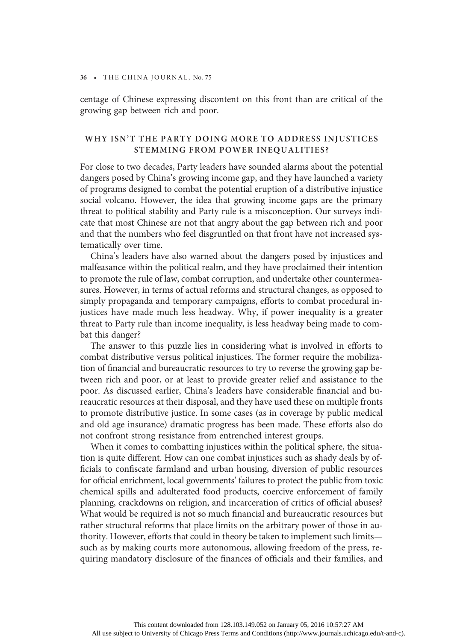centage of Chinese expressing discontent on this front than are critical of the growing gap between rich and poor.

# WHY ISN'T THE PARTY DOING MORE TO ADDRESS INJUSTICES STEMMING FROM POWER INEQUALITIES?

For close to two decades, Party leaders have sounded alarms about the potential dangers posed by China's growing income gap, and they have launched a variety of programs designed to combat the potential eruption of a distributive injustice social volcano. However, the idea that growing income gaps are the primary threat to political stability and Party rule is a misconception. Our surveys indicate that most Chinese are not that angry about the gap between rich and poor and that the numbers who feel disgruntled on that front have not increased systematically over time.

China's leaders have also warned about the dangers posed by injustices and malfeasance within the political realm, and they have proclaimed their intention to promote the rule of law, combat corruption, and undertake other countermeasures. However, in terms of actual reforms and structural changes, as opposed to simply propaganda and temporary campaigns, efforts to combat procedural injustices have made much less headway. Why, if power inequality is a greater threat to Party rule than income inequality, is less headway being made to combat this danger?

The answer to this puzzle lies in considering what is involved in efforts to combat distributive versus political injustices. The former require the mobilization of financial and bureaucratic resources to try to reverse the growing gap between rich and poor, or at least to provide greater relief and assistance to the poor. As discussed earlier, China's leaders have considerable financial and bureaucratic resources at their disposal, and they have used these on multiple fronts to promote distributive justice. In some cases (as in coverage by public medical and old age insurance) dramatic progress has been made. These efforts also do not confront strong resistance from entrenched interest groups.

When it comes to combatting injustices within the political sphere, the situation is quite different. How can one combat injustices such as shady deals by officials to confiscate farmland and urban housing, diversion of public resources for official enrichment, local governments' failures to protect the public from toxic chemical spills and adulterated food products, coercive enforcement of family planning, crackdowns on religion, and incarceration of critics of official abuses? What would be required is not so much financial and bureaucratic resources but rather structural reforms that place limits on the arbitrary power of those in authority. However, efforts that could in theory be taken to implement such limits such as by making courts more autonomous, allowing freedom of the press, requiring mandatory disclosure of the finances of officials and their families, and